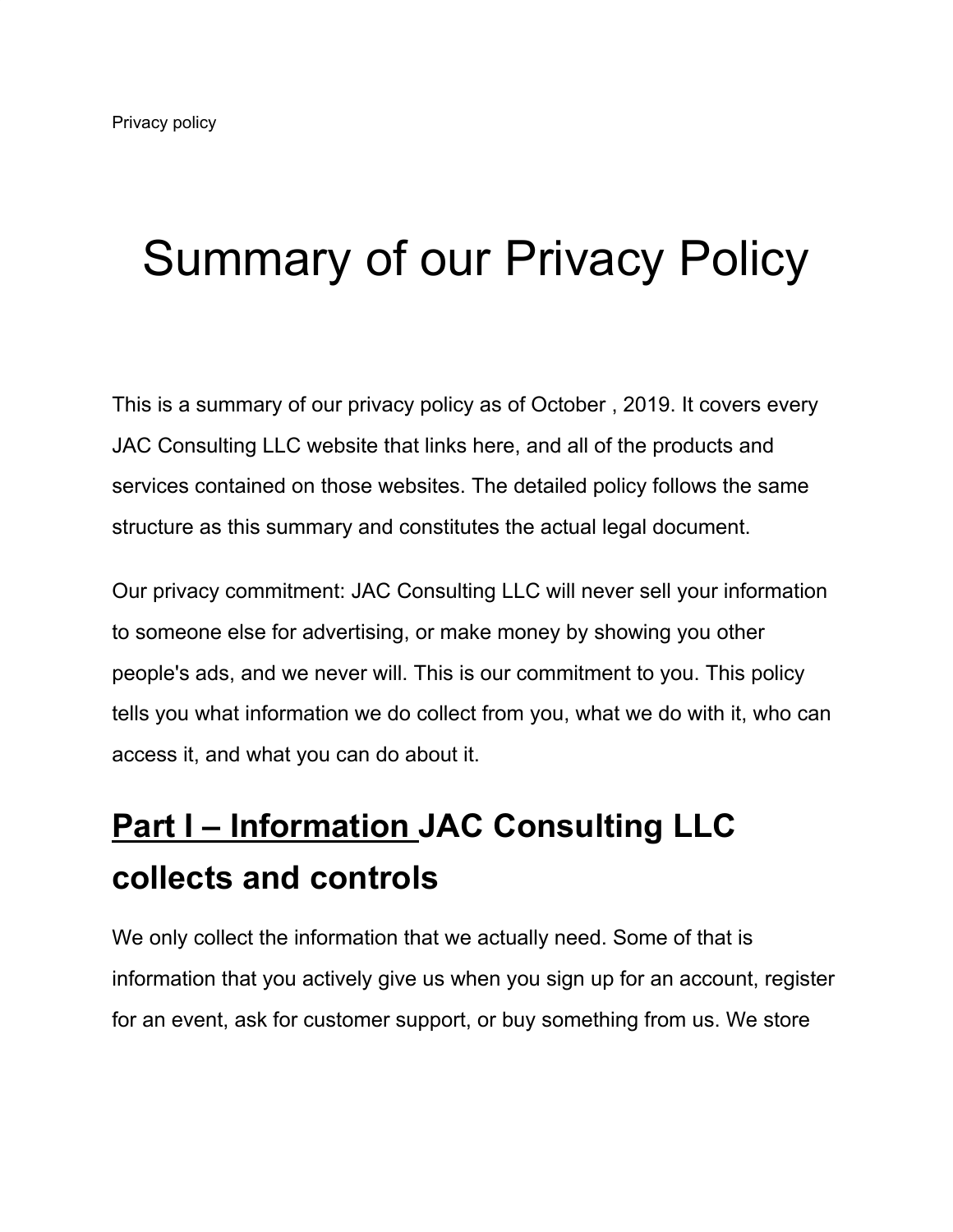# Summary of our Privacy Policy

This is a summary of our privacy policy as of October , 2019. It covers every JAC Consulting LLC website that links here, and all of the products and services contained on those websites. The detailed policy follows the same structure as this summary and constitutes the actual legal document.

Our privacy commitment: JAC Consulting LLC will never sell your information to someone else for advertising, or make money by showing you other people's ads, and we never will. This is our commitment to you. This policy tells you what information we do collect from you, what we do with it, who can access it, and what you can do about it.

# **[Part I – Information](https://www.zoho.com/privacy.html#part-one) JAC Consulting LLC collects and controls**

We only collect the information that we actually need. Some of that is information that you actively give us when you sign up for an account, register for an event, ask for customer support, or buy something from us. We store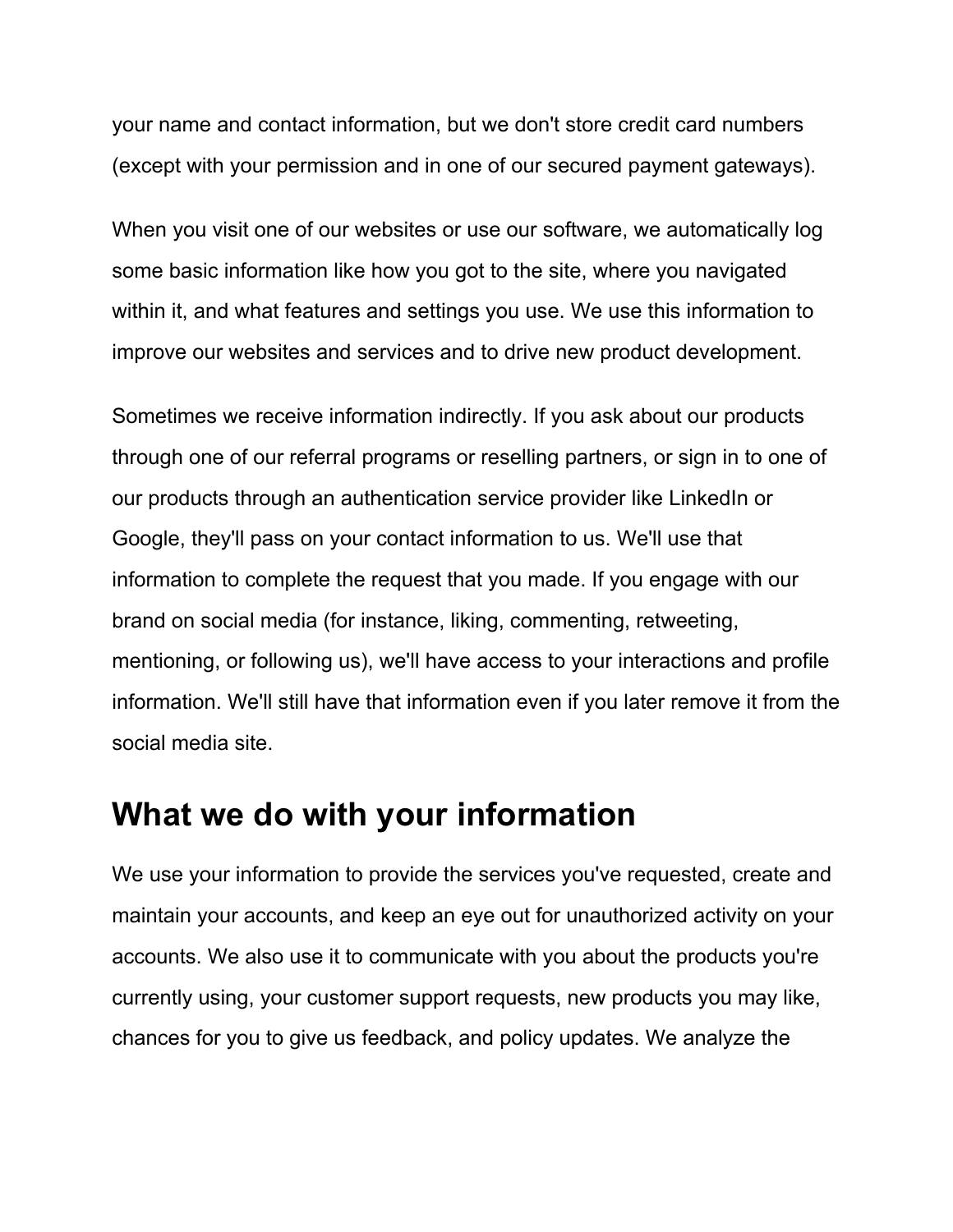your name and contact information, but we don't store credit card numbers (except with your permission and in one of our secured payment gateways).

When you visit one of our websites or use our software, we automatically log some basic information like how you got to the site, where you navigated within it, and what features and settings you use. We use this information to improve our websites and services and to drive new product development.

Sometimes we receive information indirectly. If you ask about our products through one of our referral programs or reselling partners, or sign in to one of our products through an authentication service provider like LinkedIn or Google, they'll pass on your contact information to us. We'll use that information to complete the request that you made. If you engage with our brand on social media (for instance, liking, commenting, retweeting, mentioning, or following us), we'll have access to your interactions and profile information. We'll still have that information even if you later remove it from the social media site.

### **What we do with your information**

We use your information to provide the services you've requested, create and maintain your accounts, and keep an eye out for unauthorized activity on your accounts. We also use it to communicate with you about the products you're currently using, your customer support requests, new products you may like, chances for you to give us feedback, and policy updates. We analyze the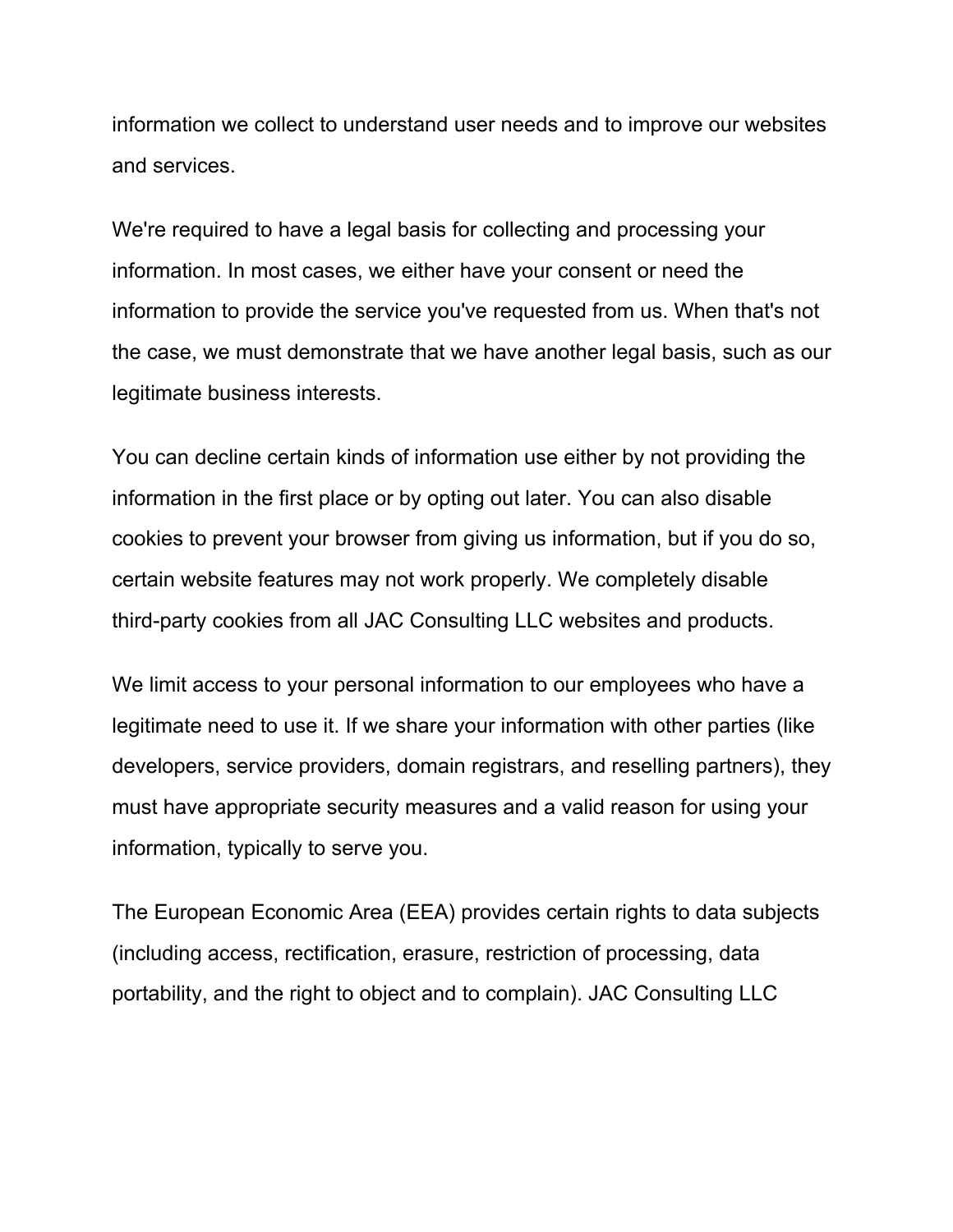information we collect to understand user needs and to improve our websites and services.

We're required to have a legal basis for collecting and processing your information. In most cases, we either have your consent or need the information to provide the service you've requested from us. When that's not the case, we must demonstrate that we have another legal basis, such as our legitimate business interests.

You can decline certain kinds of information use either by not providing the information in the first place or by opting out later. You can also disable cookies to prevent your browser from giving us information, but if you do so, certain website features may not work properly. We completely disable third-party cookies from all JAC Consulting LLC websites and products.

We limit access to your personal information to our employees who have a legitimate need to use it. If we share your information with other parties (like developers, service providers, domain registrars, and reselling partners), they must have appropriate security measures and a valid reason for using your information, typically to serve you.

The European Economic Area (EEA) provides certain rights to data subjects (including access, rectification, erasure, restriction of processing, data portability, and the right to object and to complain). JAC Consulting LLC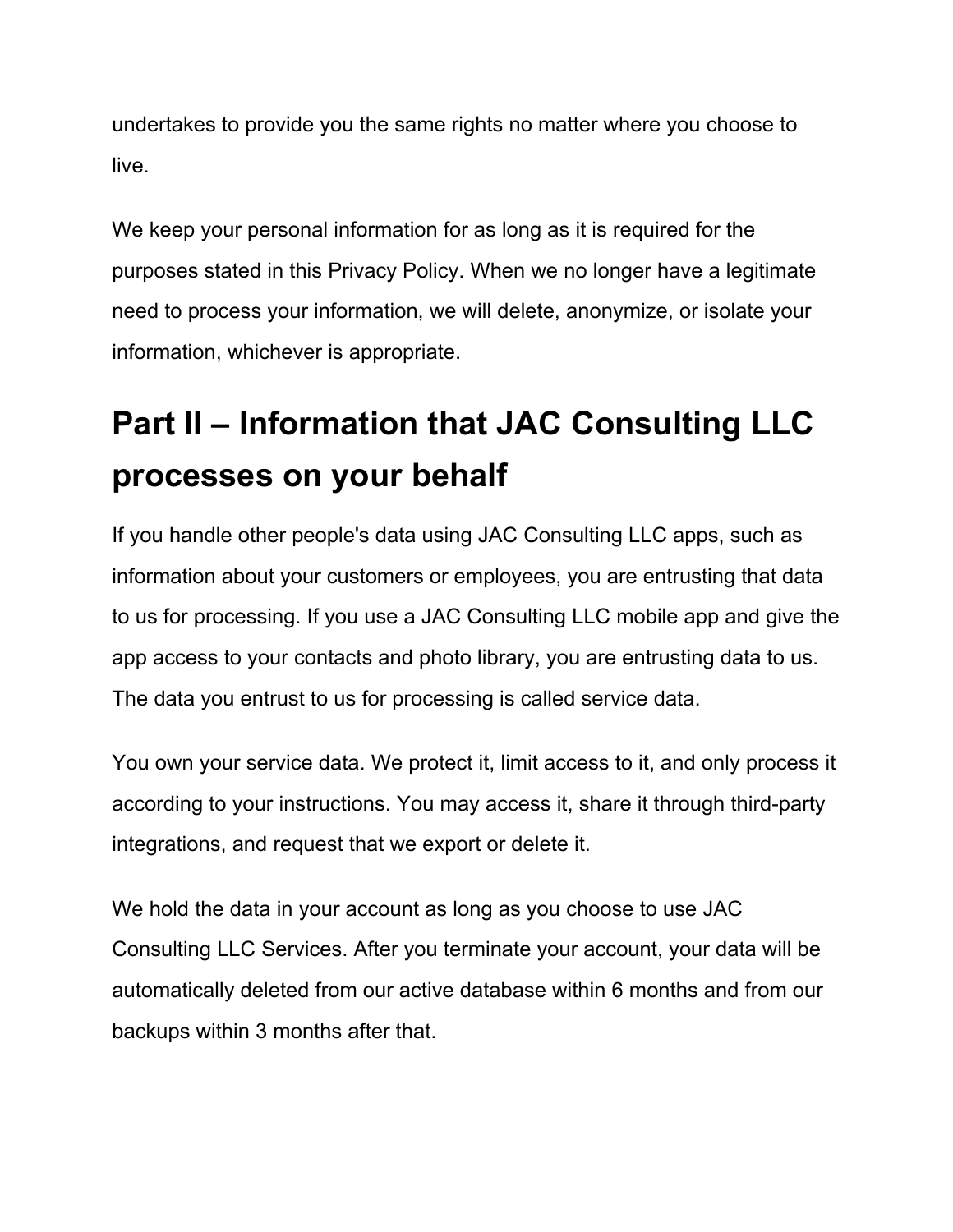undertakes to provide you the same rights no matter where you choose to live.

We keep your personal information for as long as it is required for the purposes stated in this Privacy Policy. When we no longer have a legitimate need to process your information, we will delete, anonymize, or isolate your information, whichever is appropriate.

# **Part II – Information that JAC Consulting LLC processes on your behalf**

If you handle other people's data using JAC Consulting LLC apps, such as information about your customers or employees, you are entrusting that data to us for processing. If you use a JAC Consulting LLC mobile app and give the app access to your contacts and photo library, you are entrusting data to us. The data you entrust to us for processing is called service data.

You own your service data. We protect it, limit access to it, and only process it according to your instructions. You may access it, share it through third-party integrations, and request that we export or delete it.

We hold the data in your account as long as you choose to use JAC Consulting LLC Services. After you terminate your account, your data will be automatically deleted from our active database within 6 months and from our backups within 3 months after that.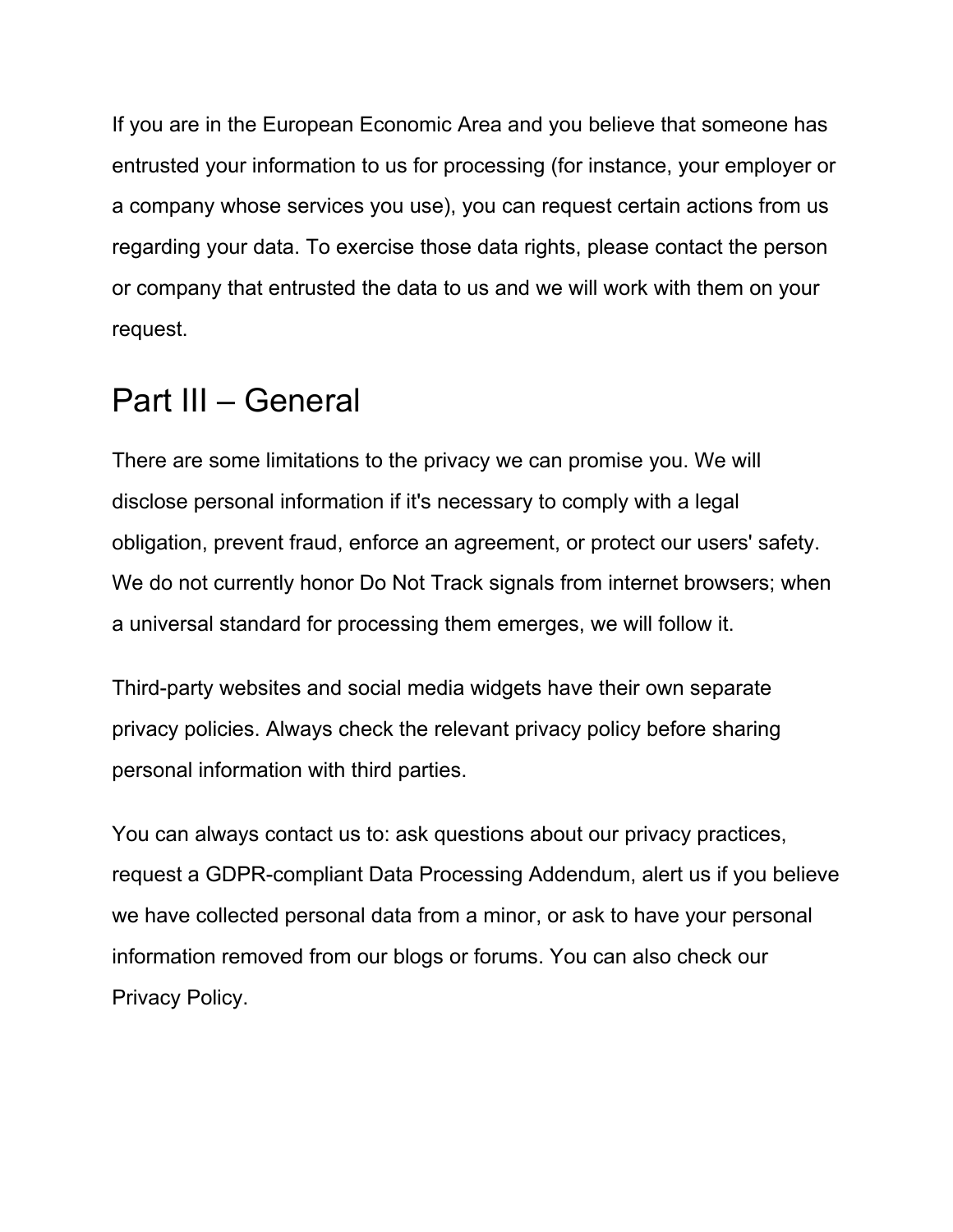If you are in the European Economic Area and you believe that someone has entrusted your information to us for processing (for instance, your employer or a company whose services you use), you can request certain actions from us regarding your data. To exercise those data rights, please contact the person or company that entrusted the data to us and we will work with them on your request.

### Part III – General

There are some limitations to the privacy we can promise you. We will disclose personal information if it's necessary to comply with a legal obligation, prevent fraud, enforce an agreement, or protect our users' safety. We do not currently honor Do Not Track signals from internet browsers; when a universal standard for processing them emerges, we will follow it.

Third-party websites and social media widgets have their own separate privacy policies. Always check the relevant privacy policy before sharing personal information with third parties.

You can always contact us to: ask questions about our privacy practices, request a GDPR-compliant Data Processing Addendum, alert us if you believe we have collected personal data from a minor, or ask to have your personal information removed from our blogs or forums. You can also check our Privacy Policy.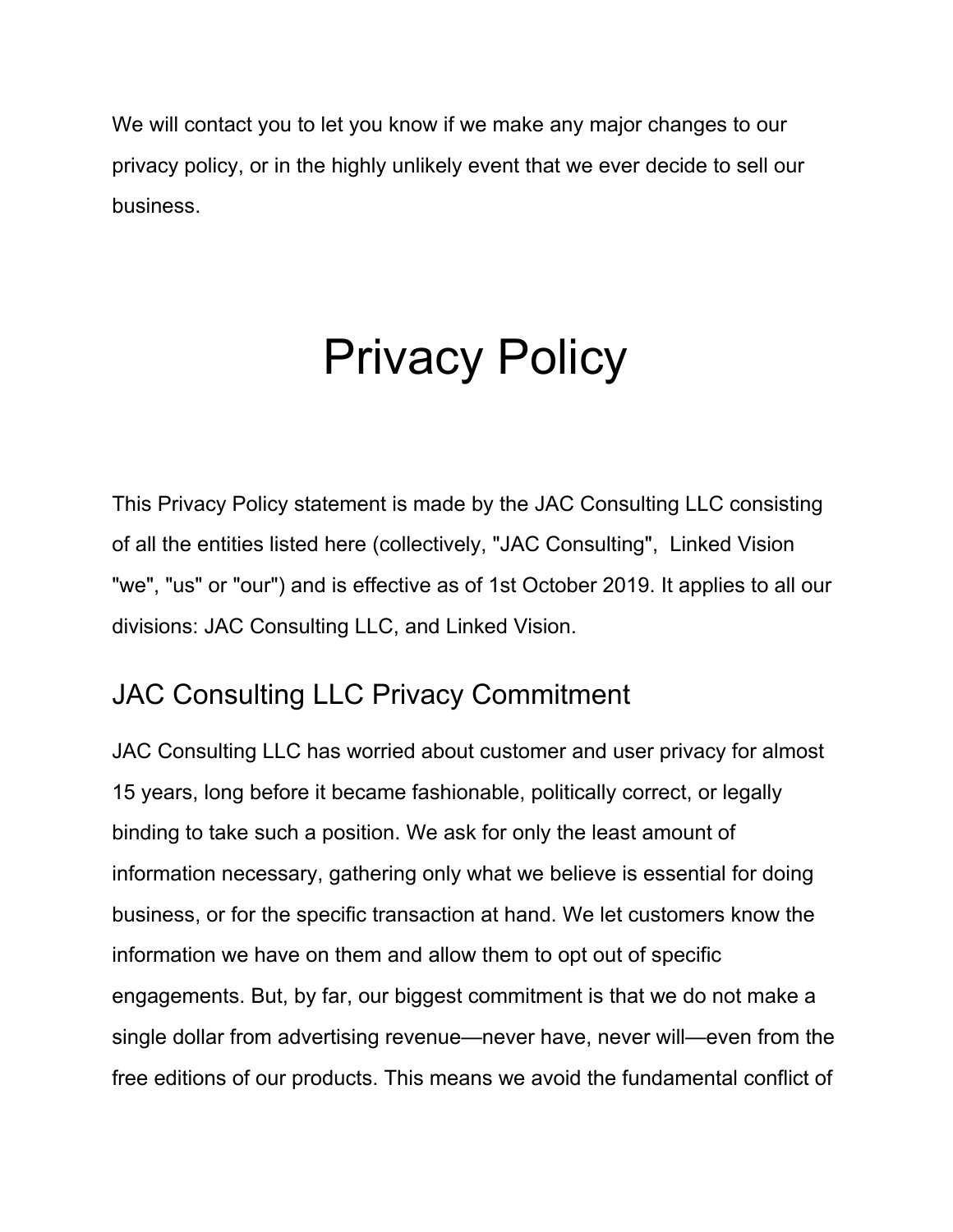We will contact you to let you know if we make any major changes to our privacy policy, or in the highly unlikely event that we ever decide to sell our business.

# Privacy Policy

This Privacy Policy statement is made by the JAC Consulting LLC consisting of all the entities listed here (collectively, "JAC Consulting", Linked Vision "we", "us" or "our") and is effective as of 1st October 2019. It applies to all our divisions: JAC Consulting LLC, and Linked Vision.

### JAC Consulting LLC Privacy Commitment

JAC Consulting LLC has worried about customer and user privacy for almost 15 years, long before it became fashionable, politically correct, or legally binding to take such a position. We ask for only the least amount of information necessary, gathering only what we believe is essential for doing business, or for the specific transaction at hand. We let customers know the information we have on them and allow them to opt out of specific engagements. But, by far, our biggest commitment is that we do not make a single dollar from advertising revenue—never have, never will—even from the free editions of our products. This means we avoid the fundamental conflict of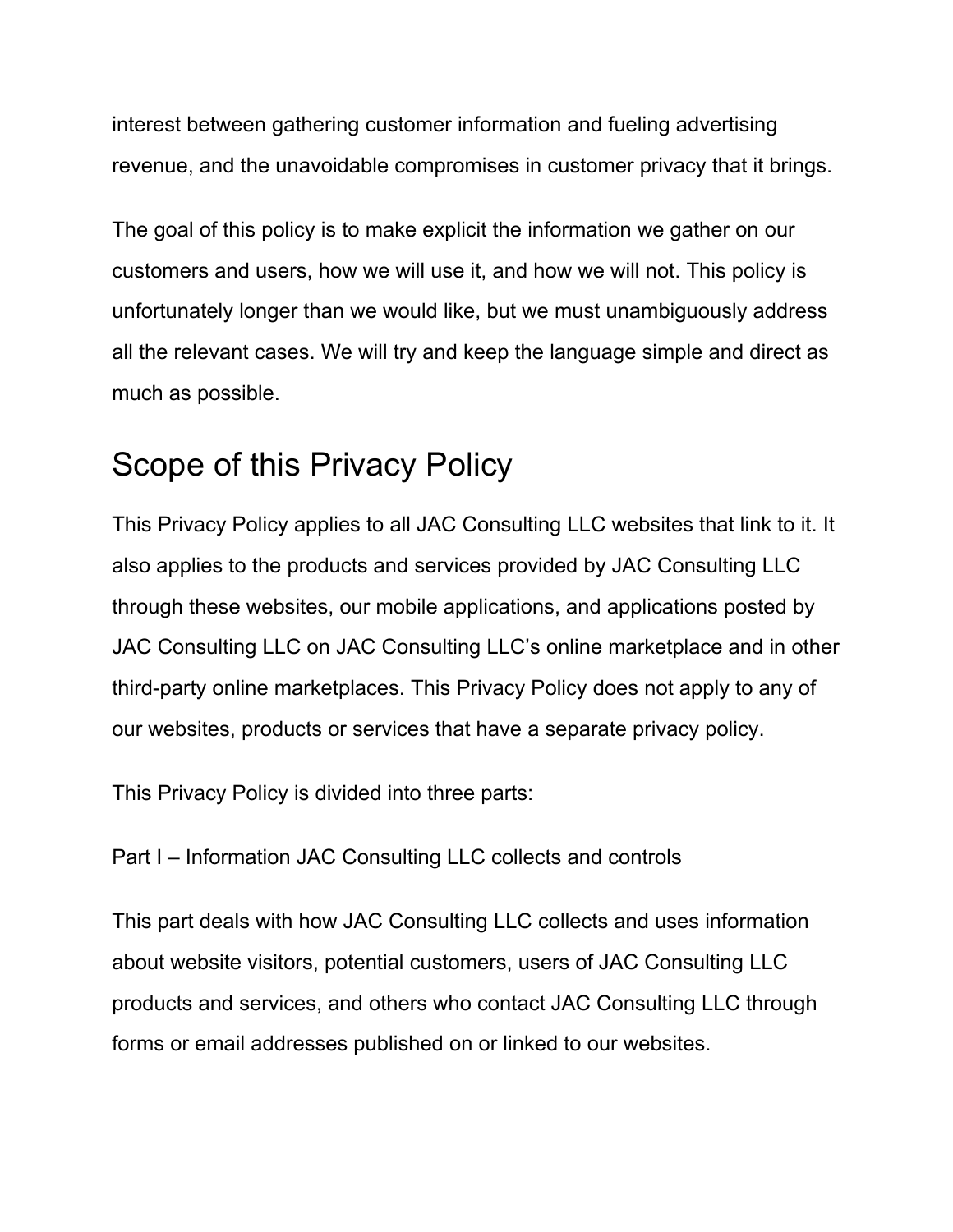interest between gathering customer information and fueling advertising revenue, and the unavoidable compromises in customer privacy that it brings.

The goal of this policy is to make explicit the information we gather on our customers and users, how we will use it, and how we will not. This policy is unfortunately longer than we would like, but we must unambiguously address all the relevant cases. We will try and keep the language simple and direct as much as possible.

### Scope of this Privacy Policy

This Privacy Policy applies to all JAC Consulting LLC websites that link to it. It also applies to the products and services provided by JAC Consulting LLC through these websites, our mobile applications, and applications posted by JAC Consulting LLC on JAC Consulting LLC's online marketplace and in other third-party online marketplaces. This Privacy Policy does not apply to any of our websites, products or services that have a separate privacy policy.

This Privacy Policy is divided into three parts:

Part I – Information JAC Consulting LLC collects and controls

This part deals with how JAC Consulting LLC collects and uses information about website visitors, potential customers, users of JAC Consulting LLC products and services, and others who contact JAC Consulting LLC through forms or email addresses published on or linked to our websites.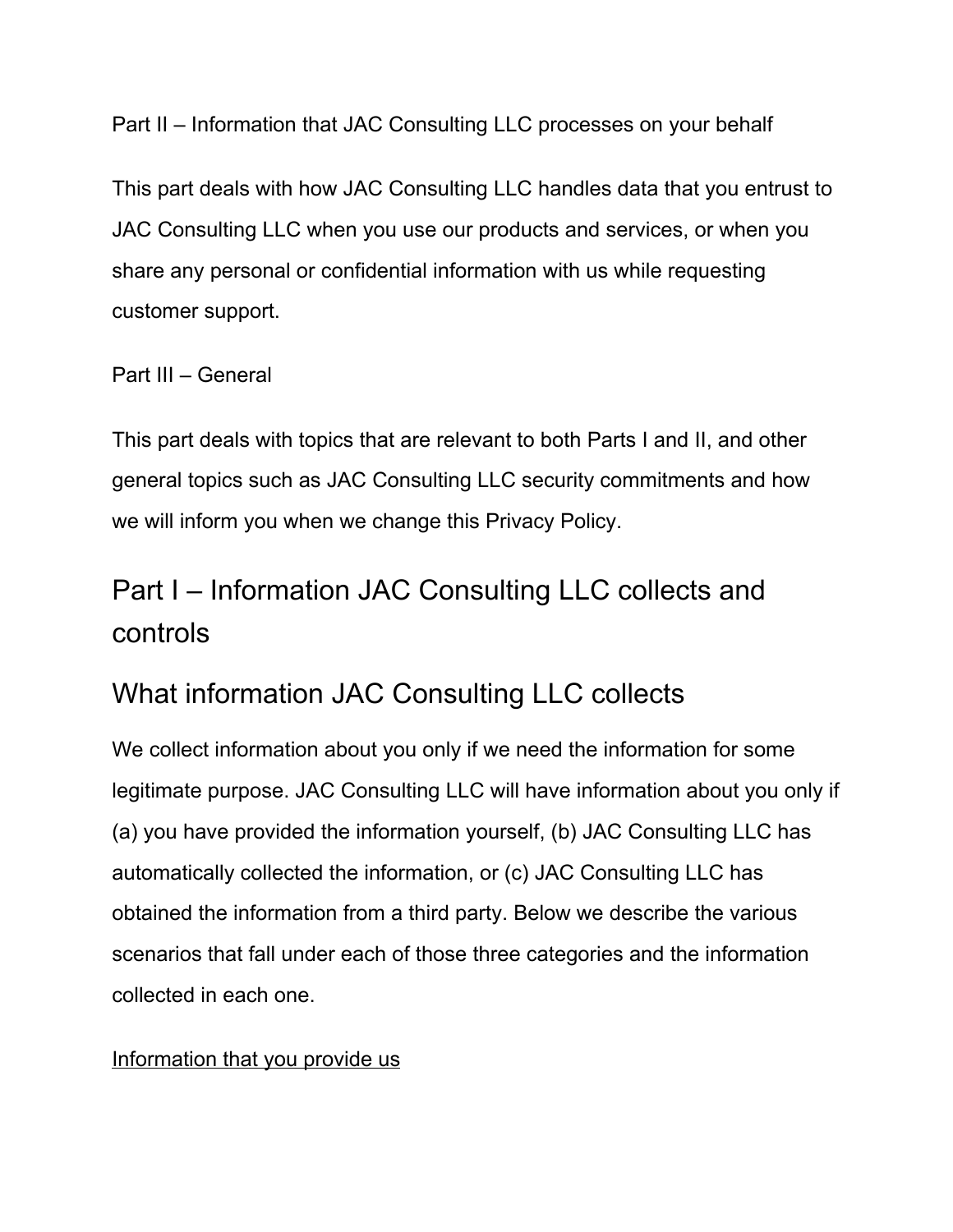Part II – Information that JAC Consulting LLC processes on your behalf

This part deals with how JAC Consulting LLC handles data that you entrust to JAC Consulting LLC when you use our products and services, or when you share any personal or confidential information with us while requesting customer support.

#### Part III – General

This part deals with topics that are relevant to both Parts I and II, and other general topics such as JAC Consulting LLC security commitments and how we will inform you when we change this Privacy Policy.

### Part I – Information JAC Consulting LLC collects and controls

### What information JAC Consulting LLC collects

We collect information about you only if we need the information for some legitimate purpose. JAC Consulting LLC will have information about you only if (a) you have provided the information yourself, (b) JAC Consulting LLC has automatically collected the information, or (c) JAC Consulting LLC has obtained the information from a third party. Below we describe the various scenarios that fall under each of those three categories and the information collected in each one.

#### Information that you provide us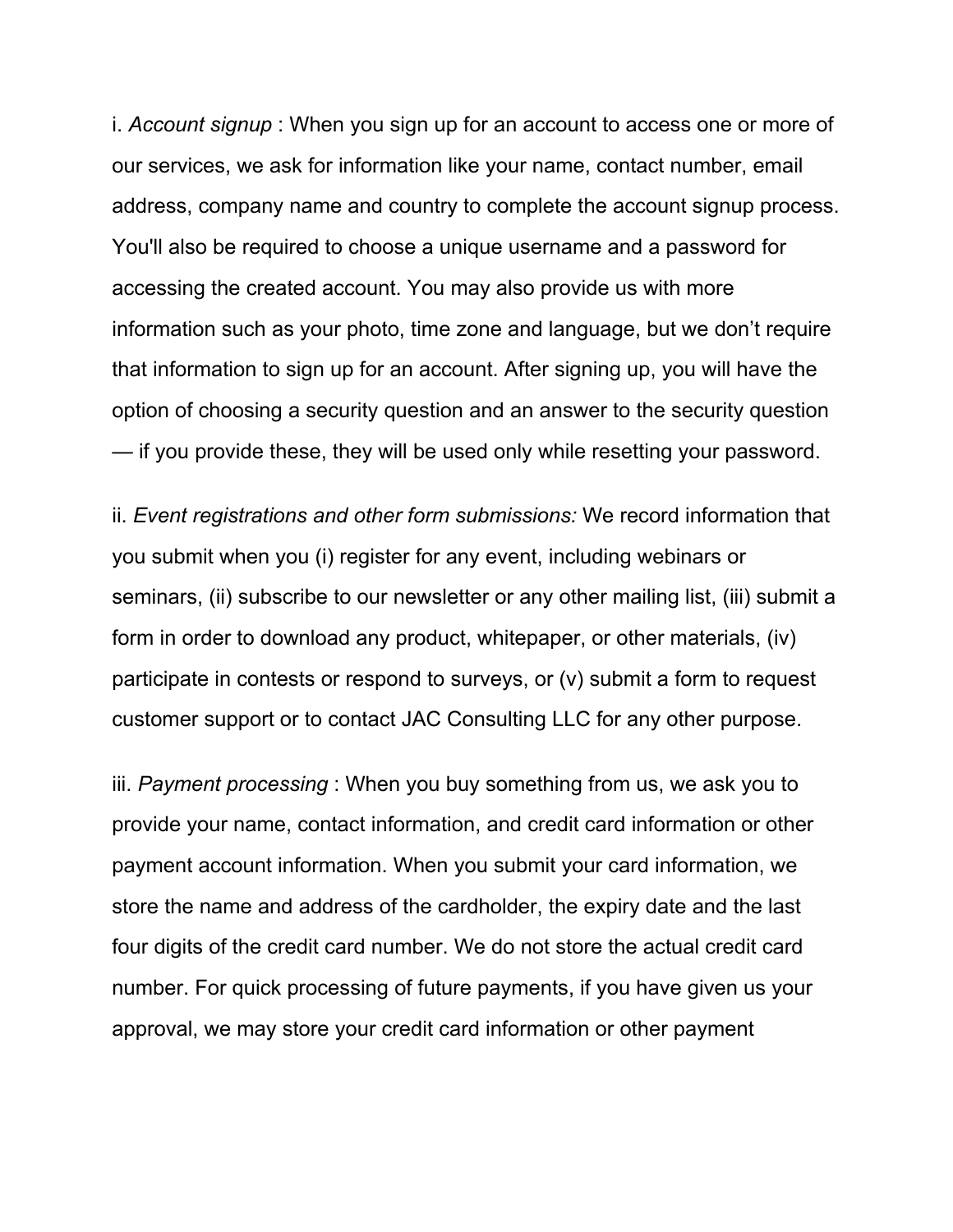i. *Account signup* : When you sign up for an account to access one or more of our services, we ask for information like your name, contact number, email address, company name and country to complete the account signup process. You'll also be required to choose a unique username and a password for accessing the created account. You may also provide us with more information such as your photo, time zone and language, but we don't require that information to sign up for an account. After signing up, you will have the option of choosing a security question and an answer to the security question — if you provide these, they will be used only while resetting your password.

ii. *Event registrations and other form submissions:* We record information that you submit when you (i) register for any event, including webinars or seminars, (ii) subscribe to our newsletter or any other mailing list, (iii) submit a form in order to download any product, whitepaper, or other materials, (iv) participate in contests or respond to surveys, or (v) submit a form to request customer support or to contact JAC Consulting LLC for any other purpose.

iii. *Payment processing* : When you buy something from us, we ask you to provide your name, contact information, and credit card information or other payment account information. When you submit your card information, we store the name and address of the cardholder, the expiry date and the last four digits of the credit card number. We do not store the actual credit card number. For quick processing of future payments, if you have given us your approval, we may store your credit card information or other payment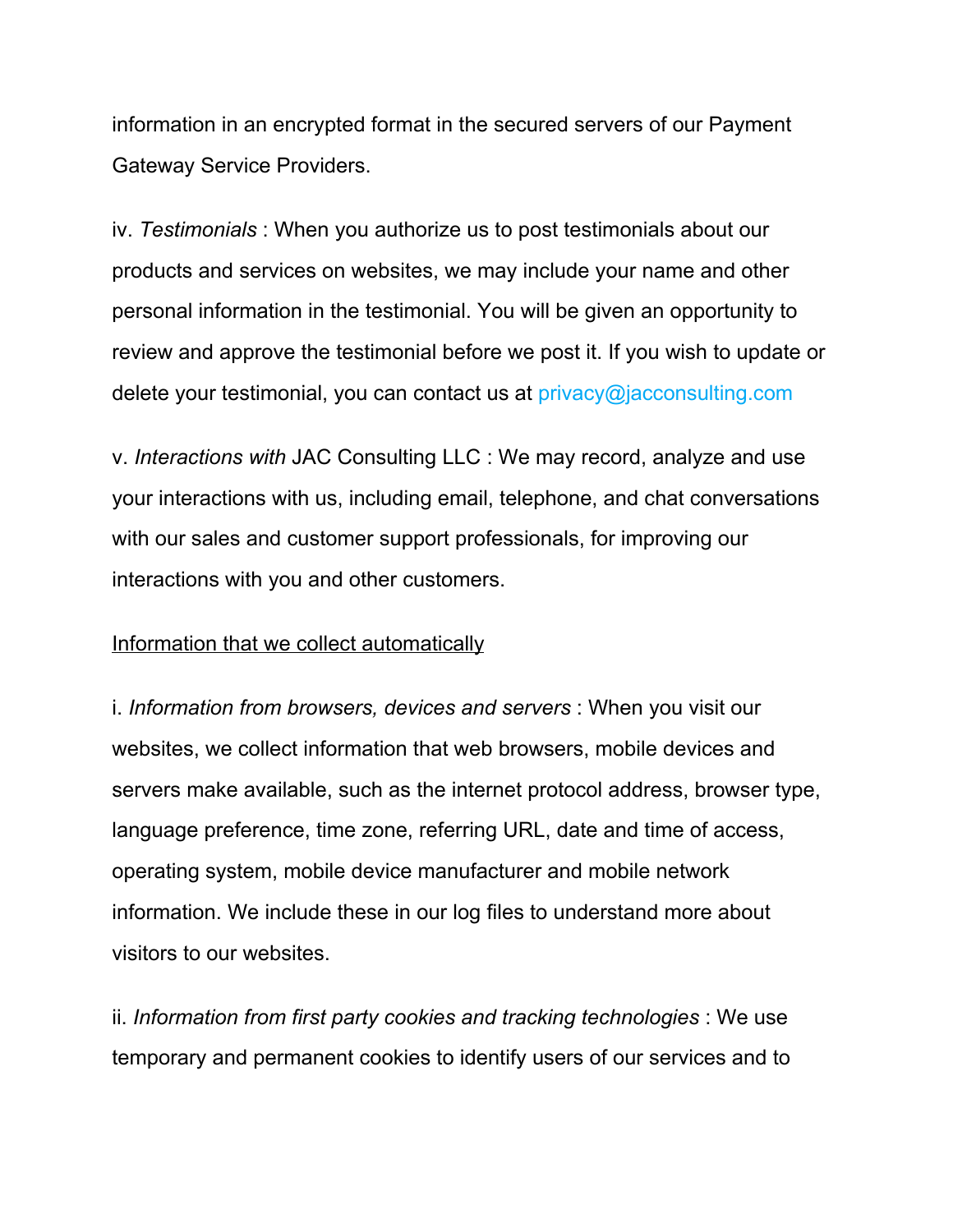information in an encrypted format in the secured servers of our Payment Gateway Service Providers.

iv. *Testimonials* : When you authorize us to post testimonials about our products and services on websites, we may include your name and other personal information in the testimonial. You will be given an opportunity to review and approve the testimonial before we post it. If you wish to update or delete your testimonial, you can contact us at privacy@jacconsulting.com

v. *Interactions with* JAC Consulting LLC : We may record, analyze and use your interactions with us, including email, telephone, and chat conversations with our sales and customer support professionals, for improving our interactions with you and other customers.

#### Information that we collect automatically

i. *Information from browsers, devices and servers* : When you visit our websites, we collect information that web browsers, mobile devices and servers make available, such as the internet protocol address, browser type, language preference, time zone, referring URL, date and time of access, operating system, mobile device manufacturer and mobile network information. We include these in our log files to understand more about visitors to our websites.

ii. *Information from first party cookies and tracking technologies* : We use temporary and permanent cookies to identify users of our services and to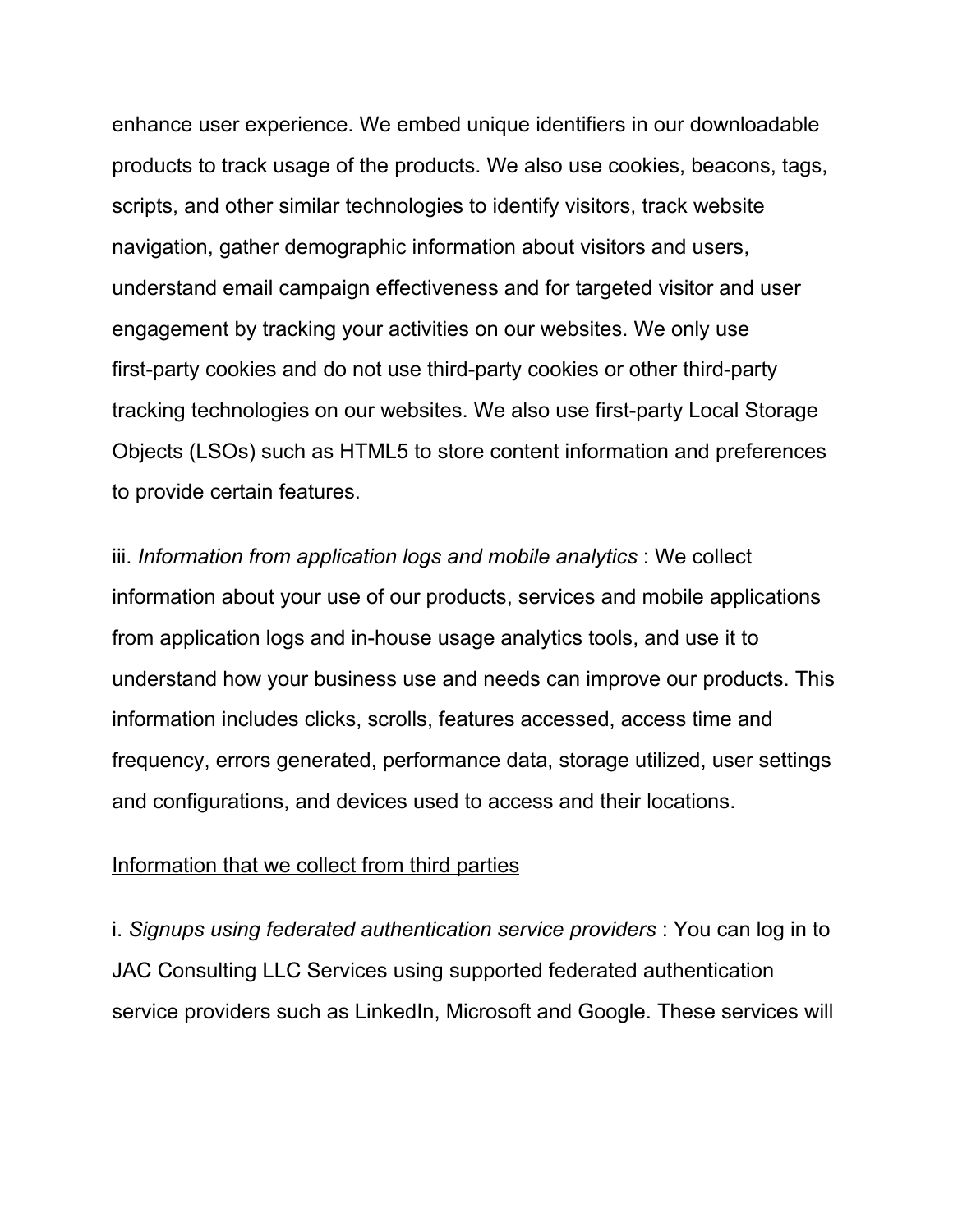enhance user experience. We embed unique identifiers in our downloadable products to track usage of the products. We also use cookies, beacons, tags, scripts, and other similar technologies to identify visitors, track website navigation, gather demographic information about visitors and users, understand email campaign effectiveness and for targeted visitor and user engagement by tracking your activities on our websites. We only use first-party cookies and do not use third-party cookies or other third-party tracking technologies on our websites. We also use first-party Local Storage Objects (LSOs) such as HTML5 to store content information and preferences to provide certain features.

iii. *Information from application logs and mobile analytics* : We collect information about your use of our products, services and mobile applications from application logs and in-house usage analytics tools, and use it to understand how your business use and needs can improve our products. This information includes clicks, scrolls, features accessed, access time and frequency, errors generated, performance data, storage utilized, user settings and configurations, and devices used to access and their locations.

#### Information that we collect from third parties

i. *Signups using federated authentication service providers* : You can log in to JAC Consulting LLC Services using supported federated authentication service providers such as LinkedIn, Microsoft and Google. These services will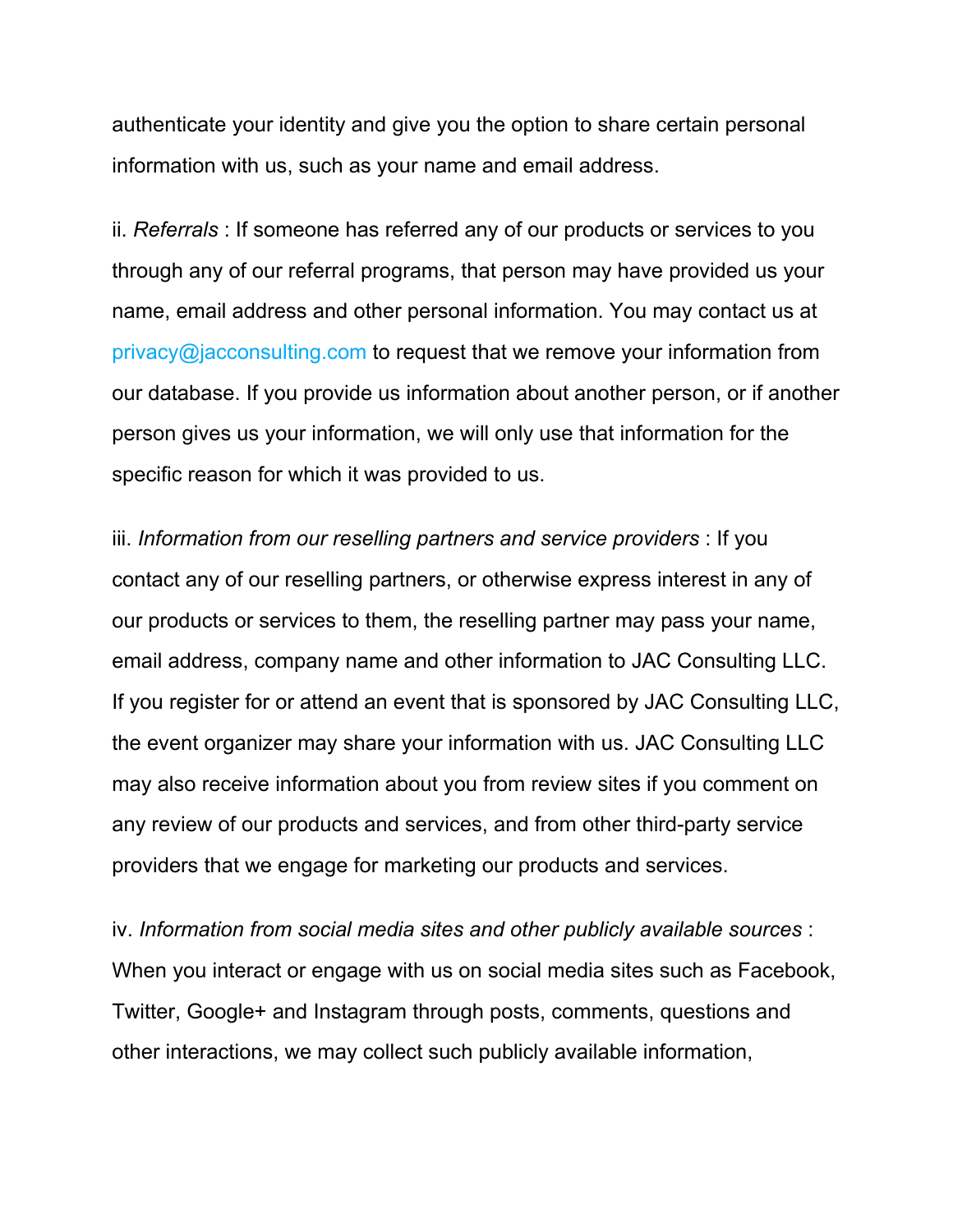authenticate your identity and give you the option to share certain personal information with us, such as your name and email address.

ii. *Referrals* : If someone has referred any of our products or services to you through any of our referral programs, that person may have provided us your name, email address and other personal information. You may contact us at privacy@jacconsulting.com to request that we remove your information from our database. If you provide us information about another person, or if another person gives us your information, we will only use that information for the specific reason for which it was provided to us.

iii. *Information from our reselling partners and service providers* : If you contact any of our reselling partners, or otherwise express interest in any of our products or services to them, the reselling partner may pass your name, email address, company name and other information to JAC Consulting LLC. If you register for or attend an event that is sponsored by JAC Consulting LLC, the event organizer may share your information with us. JAC Consulting LLC may also receive information about you from review sites if you comment on any review of our products and services, and from other third-party service providers that we engage for marketing our products and services.

iv. *Information from social media sites and other publicly available sources* : When you interact or engage with us on social media sites such as Facebook, Twitter, Google+ and Instagram through posts, comments, questions and other interactions, we may collect such publicly available information,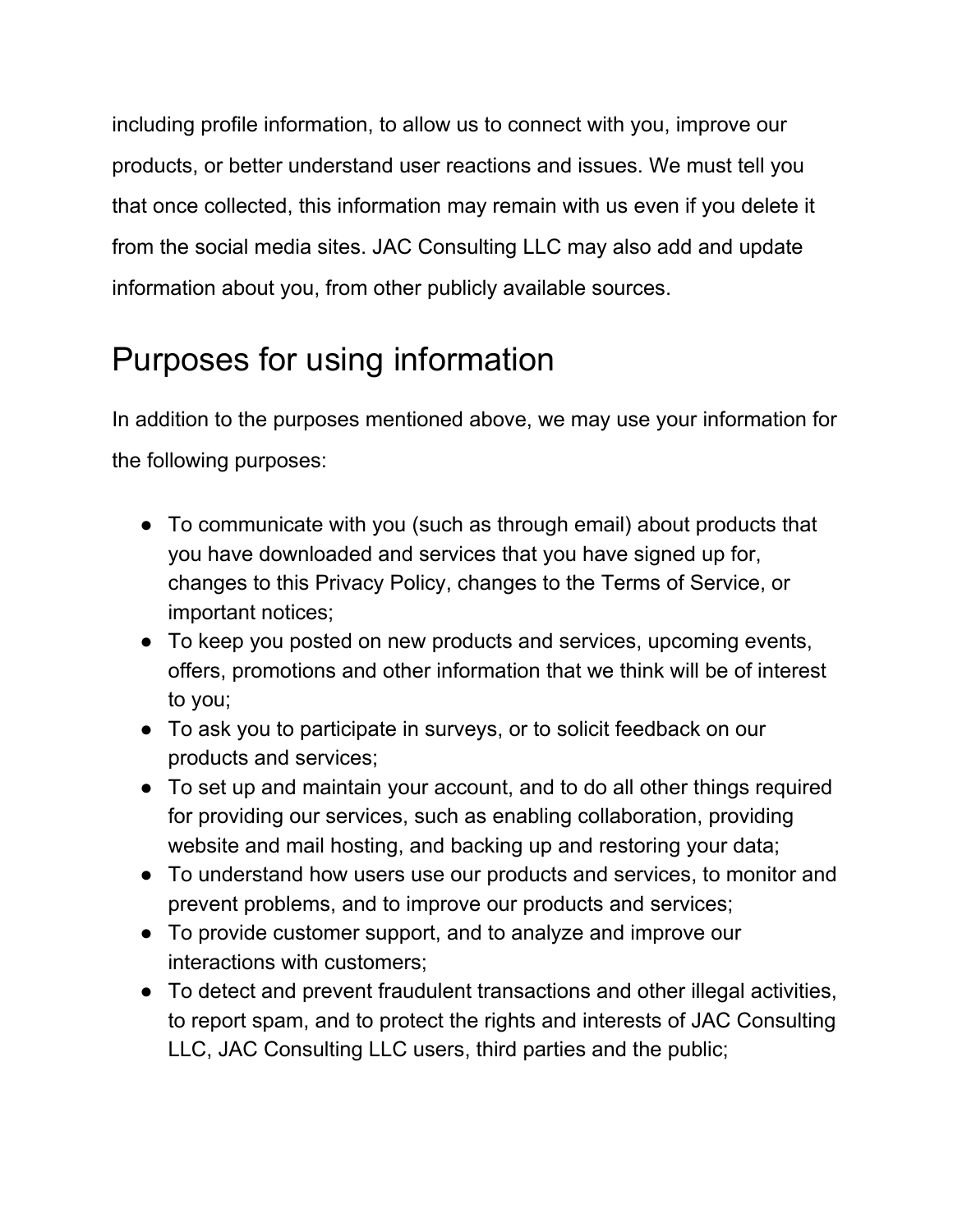including profile information, to allow us to connect with you, improve our products, or better understand user reactions and issues. We must tell you that once collected, this information may remain with us even if you delete it from the social media sites. JAC Consulting LLC may also add and update information about you, from other publicly available sources.

# Purposes for using information

In addition to the purposes mentioned above, we may use your information for the following purposes:

- To communicate with you (such as through email) about products that you have downloaded and services that you have signed up for, changes to this Privacy Policy, changes to the Terms of Service, or important notices;
- To keep you posted on new products and services, upcoming events, offers, promotions and other information that we think will be of interest to you;
- To ask you to participate in surveys, or to solicit feedback on our products and services;
- To set up and maintain your account, and to do all other things required for providing our services, such as enabling collaboration, providing website and mail hosting, and backing up and restoring your data;
- To understand how users use our products and services, to monitor and prevent problems, and to improve our products and services;
- To provide customer support, and to analyze and improve our interactions with customers;
- To detect and prevent fraudulent transactions and other illegal activities, to report spam, and to protect the rights and interests of JAC Consulting LLC, JAC Consulting LLC users, third parties and the public;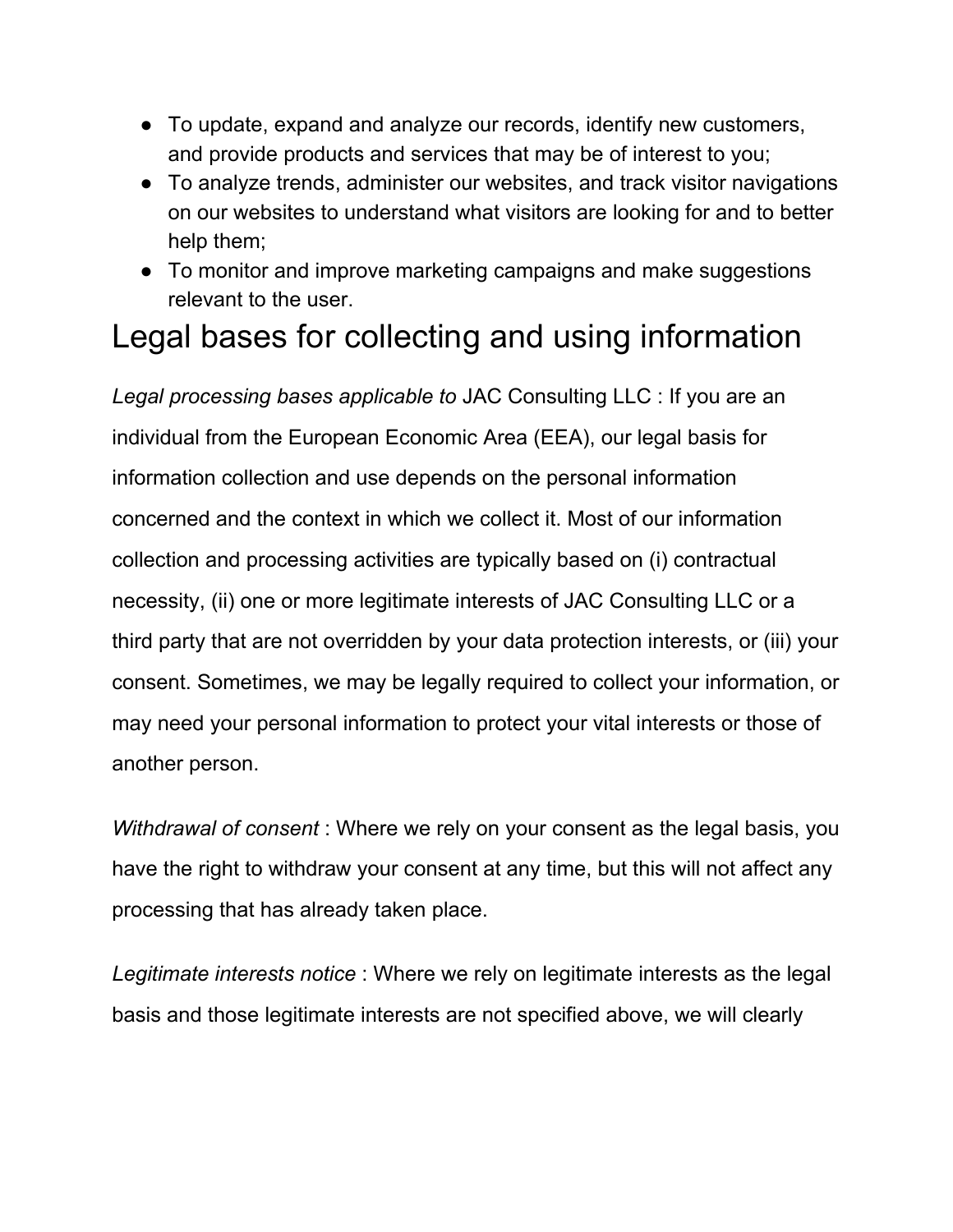- To update, expand and analyze our records, identify new customers, and provide products and services that may be of interest to you;
- To analyze trends, administer our websites, and track visitor navigations on our websites to understand what visitors are looking for and to better help them;
- To monitor and improve marketing campaigns and make suggestions relevant to the user.

# Legal bases for collecting and using information

*Legal processing bases applicable to* JAC Consulting LLC : If you are an individual from the European Economic Area (EEA), our legal basis for information collection and use depends on the personal information concerned and the context in which we collect it. Most of our information collection and processing activities are typically based on (i) contractual necessity, (ii) one or more legitimate interests of JAC Consulting LLC or a third party that are not overridden by your data protection interests, or (iii) your consent. Sometimes, we may be legally required to collect your information, or may need your personal information to protect your vital interests or those of another person.

*Withdrawal of consent* : Where we rely on your consent as the legal basis, you have the right to withdraw your consent at any time, but this will not affect any processing that has already taken place.

*Legitimate interests notice* : Where we rely on legitimate interests as the legal basis and those legitimate interests are not specified above, we will clearly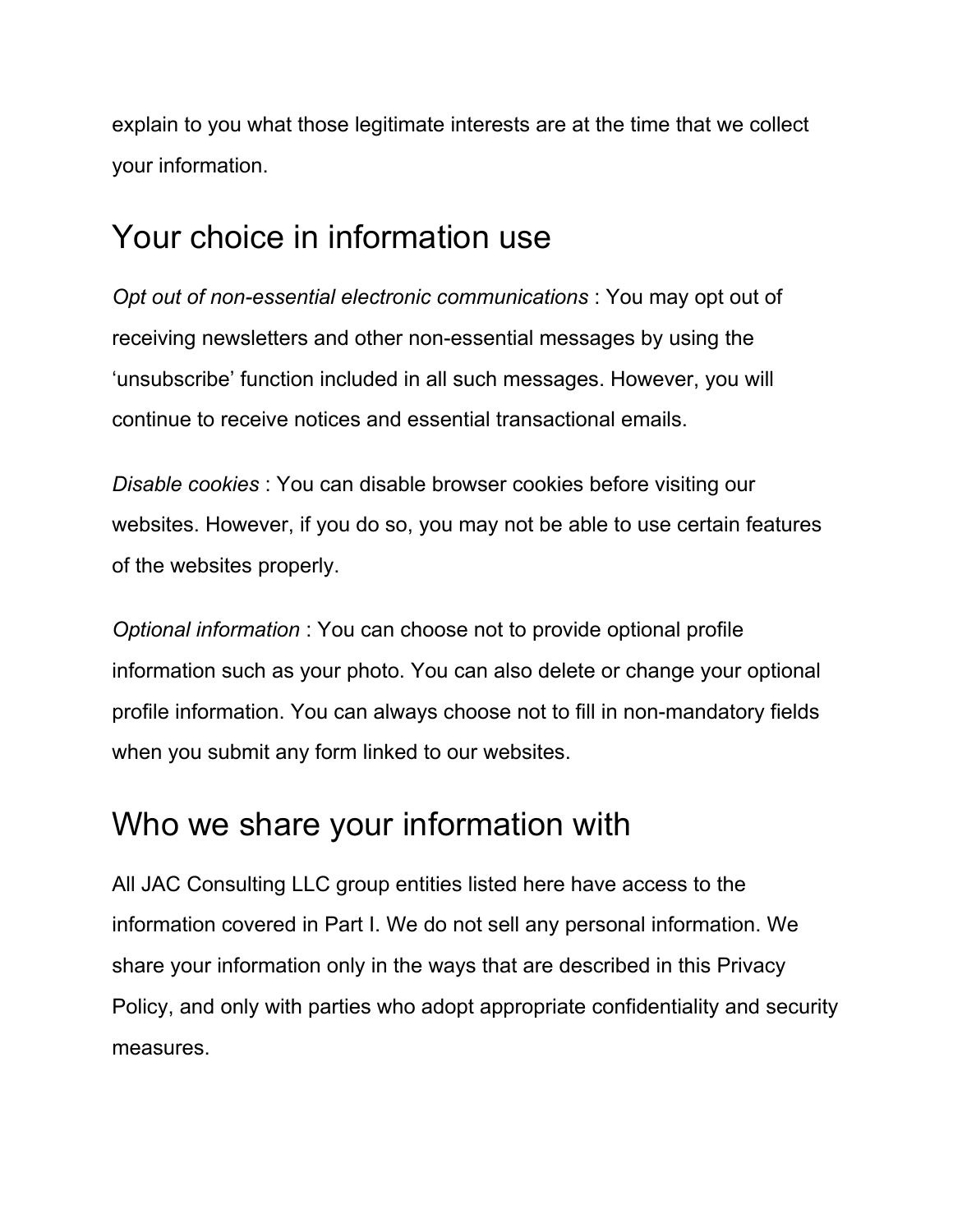explain to you what those legitimate interests are at the time that we collect your information.

### Your choice in information use

*Opt out of non-essential electronic communications* : You may opt out of receiving newsletters and other non-essential messages by using the 'unsubscribe' function included in all such messages. However, you will continue to receive notices and essential transactional emails.

*Disable cookies* : You can disable browser cookies before visiting our websites. However, if you do so, you may not be able to use certain features of the websites properly.

*Optional information* : You can choose not to provide optional profile information such as your photo. You can also delete or change your optional profile information. You can always choose not to fill in non-mandatory fields when you submit any form linked to our websites.

### Who we share your information with

All JAC Consulting LLC group entities listed here have access to the information covered in Part I. We do not sell any personal information. We share your information only in the ways that are described in this Privacy Policy, and only with parties who adopt appropriate confidentiality and security measures.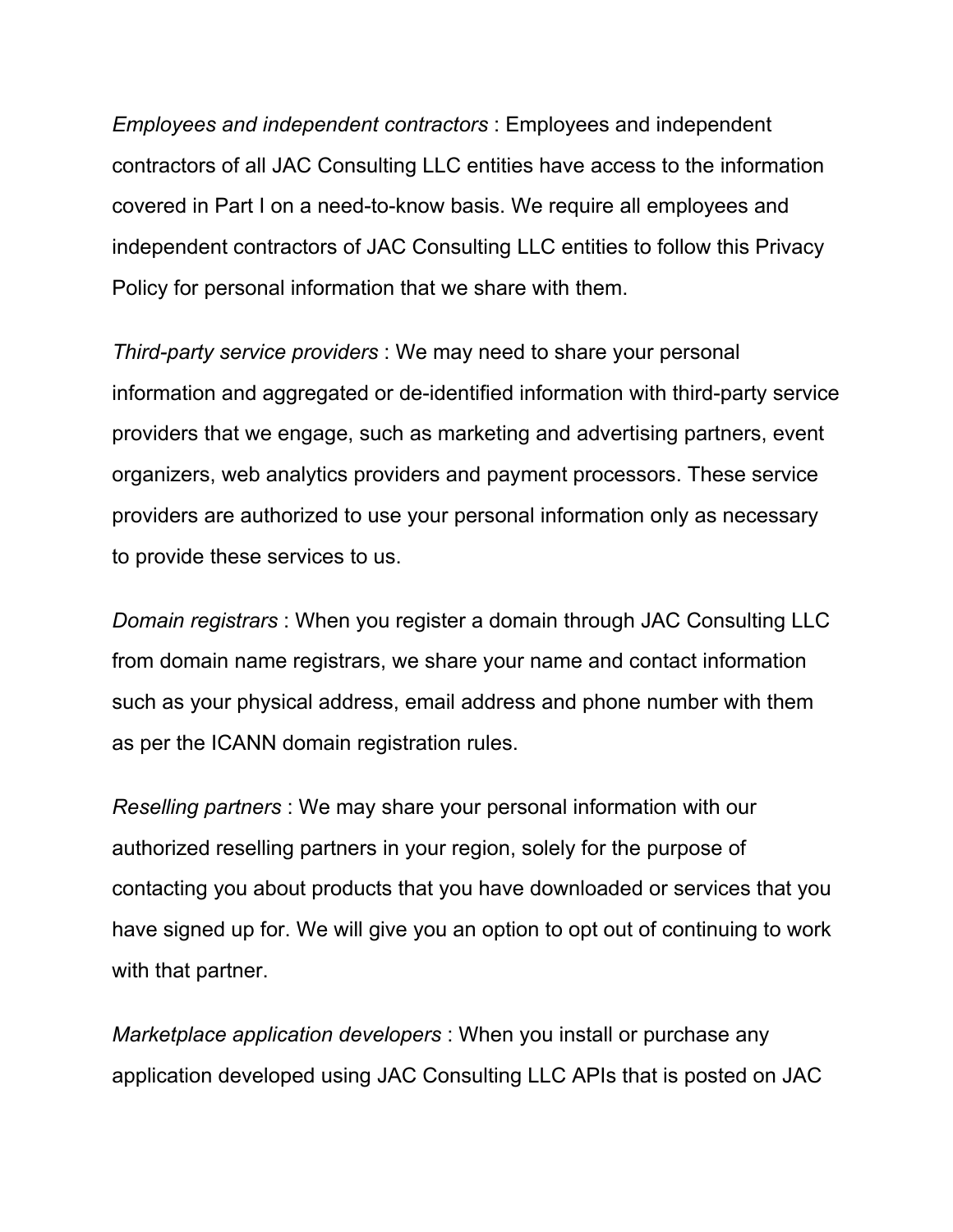*Employees and independent contractors* : Employees and independent contractors of all JAC Consulting LLC entities have access to the information covered in Part I on a need-to-know basis. We require all employees and independent contractors of JAC Consulting LLC entities to follow this Privacy Policy for personal information that we share with them.

*Third-party service providers* : We may need to share your personal information and aggregated or de-identified information with third-party service providers that we engage, such as marketing and advertising partners, event organizers, web analytics providers and payment processors. These service providers are authorized to use your personal information only as necessary to provide these services to us.

*Domain registrars* : When you register a domain through JAC Consulting LLC from domain name registrars, we share your name and contact information such as your physical address, email address and phone number with them as per the ICANN domain registration rules.

*Reselling partners* : We may share your personal information with our authorized reselling partners in your region, solely for the purpose of contacting you about products that you have downloaded or services that you have signed up for. We will give you an option to opt out of continuing to work with that partner.

*Marketplace application developers* : When you install or purchase any application developed using JAC Consulting LLC APIs that is posted on JAC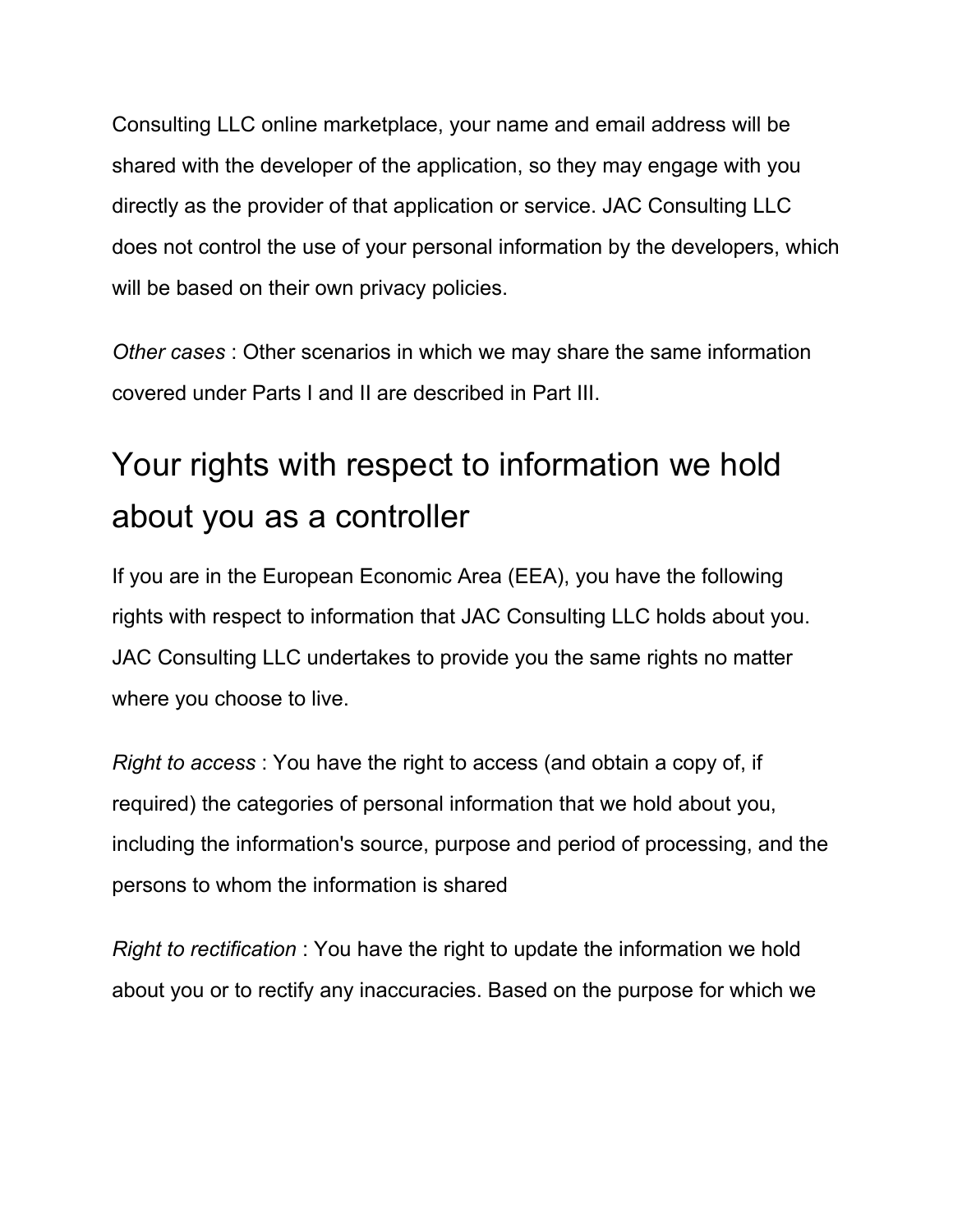Consulting LLC online marketplace, your name and email address will be shared with the developer of the application, so they may engage with you directly as the provider of that application or service. JAC Consulting LLC does not control the use of your personal information by the developers, which will be based on their own privacy policies.

*Other cases* : Other scenarios in which we may share the same information covered under Parts I and II are described in Part III.

# Your rights with respect to information we hold about you as a controller

If you are in the European Economic Area (EEA), you have the following rights with respect to information that JAC Consulting LLC holds about you. JAC Consulting LLC undertakes to provide you the same rights no matter where you choose to live.

*Right to access* : You have the right to access (and obtain a copy of, if required) the categories of personal information that we hold about you, including the information's source, purpose and period of processing, and the persons to whom the information is shared

*Right to rectification* : You have the right to update the information we hold about you or to rectify any inaccuracies. Based on the purpose for which we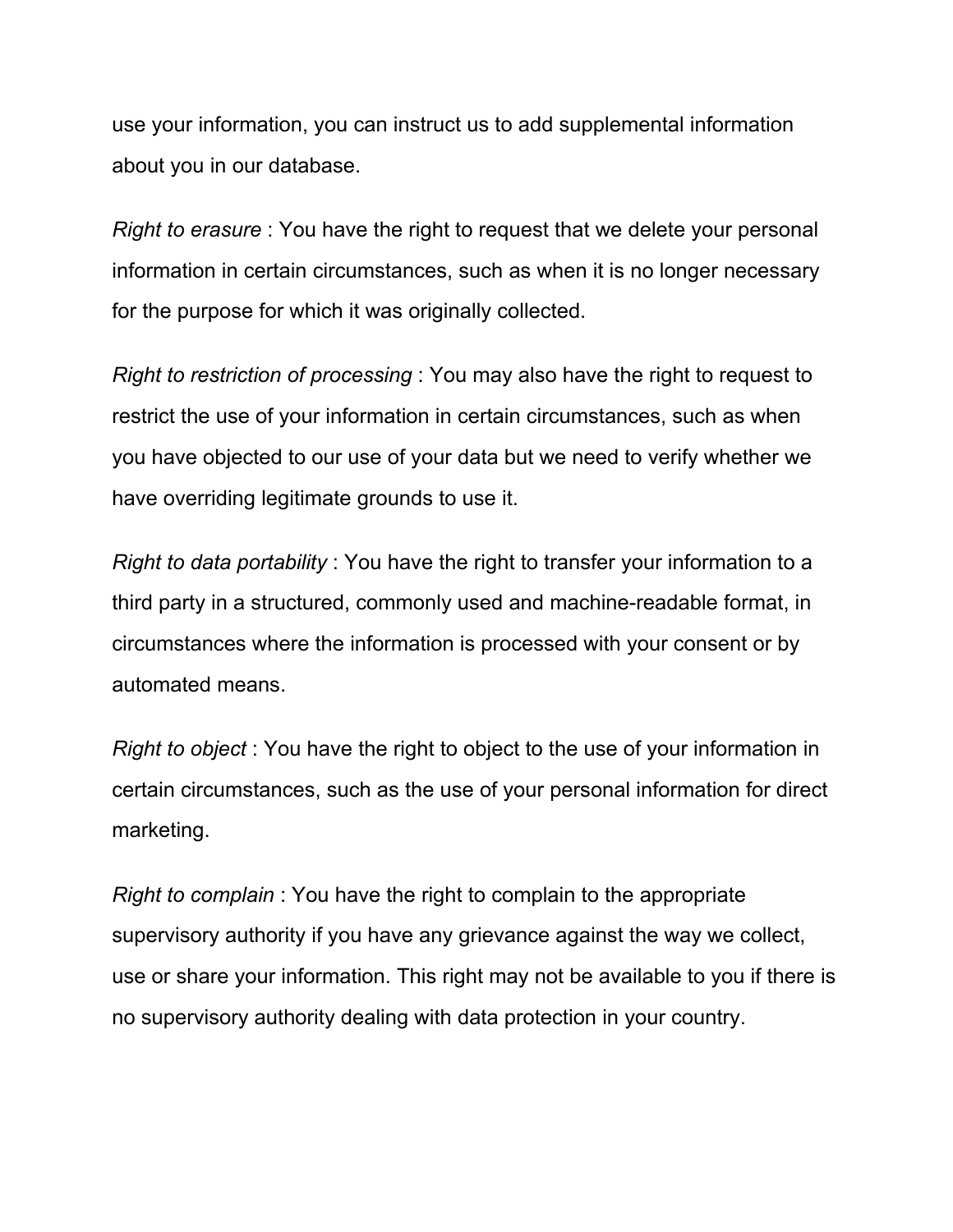use your information, you can instruct us to add supplemental information about you in our database.

*Right to erasure* : You have the right to request that we delete your personal information in certain circumstances, such as when it is no longer necessary for the purpose for which it was originally collected.

*Right to restriction of processing* : You may also have the right to request to restrict the use of your information in certain circumstances, such as when you have objected to our use of your data but we need to verify whether we have overriding legitimate grounds to use it.

*Right to data portability* : You have the right to transfer your information to a third party in a structured, commonly used and machine-readable format, in circumstances where the information is processed with your consent or by automated means.

*Right to object* : You have the right to object to the use of your information in certain circumstances, such as the use of your personal information for direct marketing.

*Right to complain* : You have the right to complain to the appropriate supervisory authority if you have any grievance against the way we collect, use or share your information. This right may not be available to you if there is no supervisory authority dealing with data protection in your country.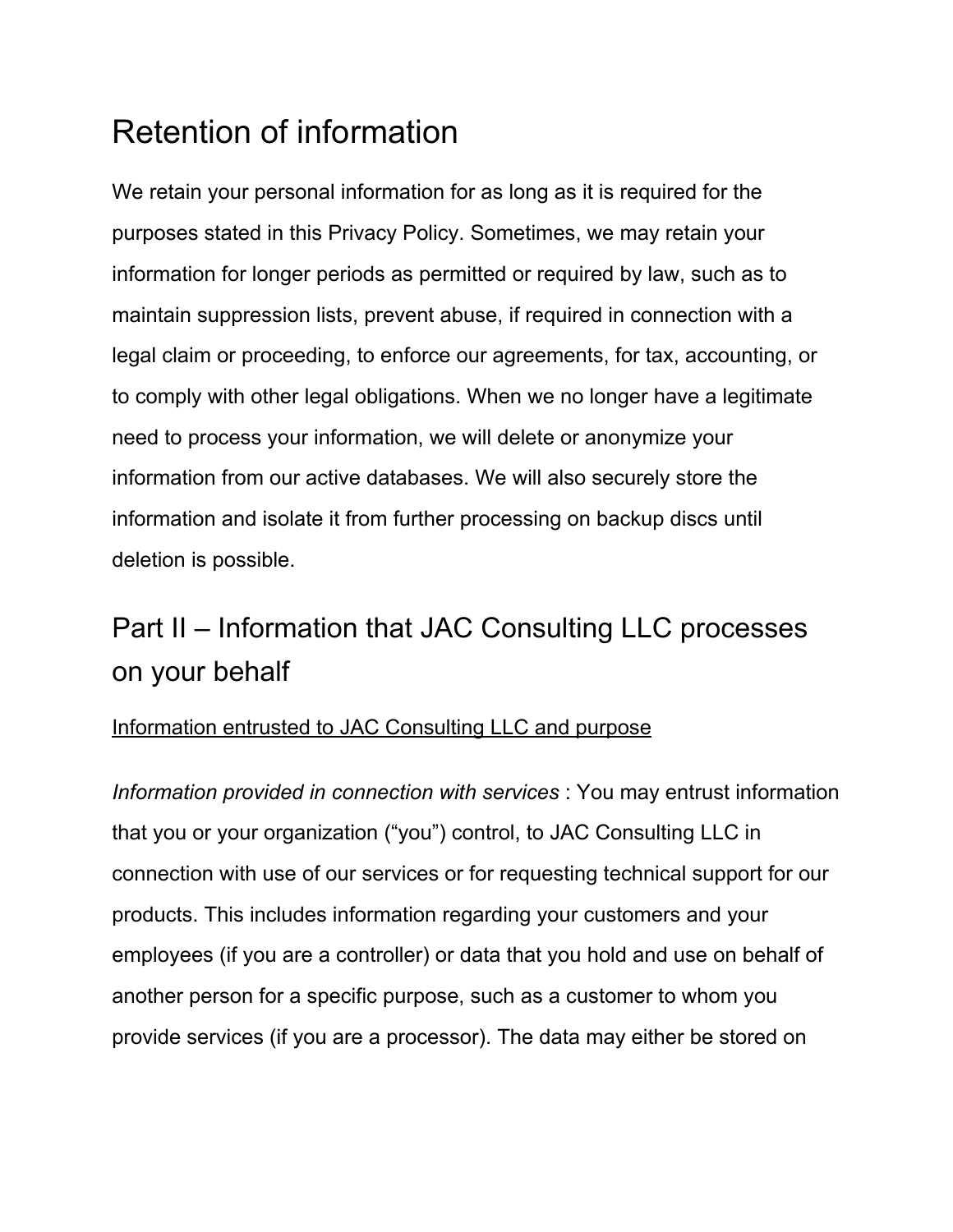# Retention of information

We retain your personal information for as long as it is required for the purposes stated in this Privacy Policy. Sometimes, we may retain your information for longer periods as permitted or required by law, such as to maintain suppression lists, prevent abuse, if required in connection with a legal claim or proceeding, to enforce our agreements, for tax, accounting, or to comply with other legal obligations. When we no longer have a legitimate need to process your information, we will delete or anonymize your information from our active databases. We will also securely store the information and isolate it from further processing on backup discs until deletion is possible.

### Part II – Information that JAC Consulting LLC processes on your behalf

#### Information entrusted to JAC Consulting LLC and purpose

*Information provided in connection with services* : You may entrust information that you or your organization ("you") control, to JAC Consulting LLC in connection with use of our services or for requesting technical support for our products. This includes information regarding your customers and your employees (if you are a controller) or data that you hold and use on behalf of another person for a specific purpose, such as a customer to whom you provide services (if you are a processor). The data may either be stored on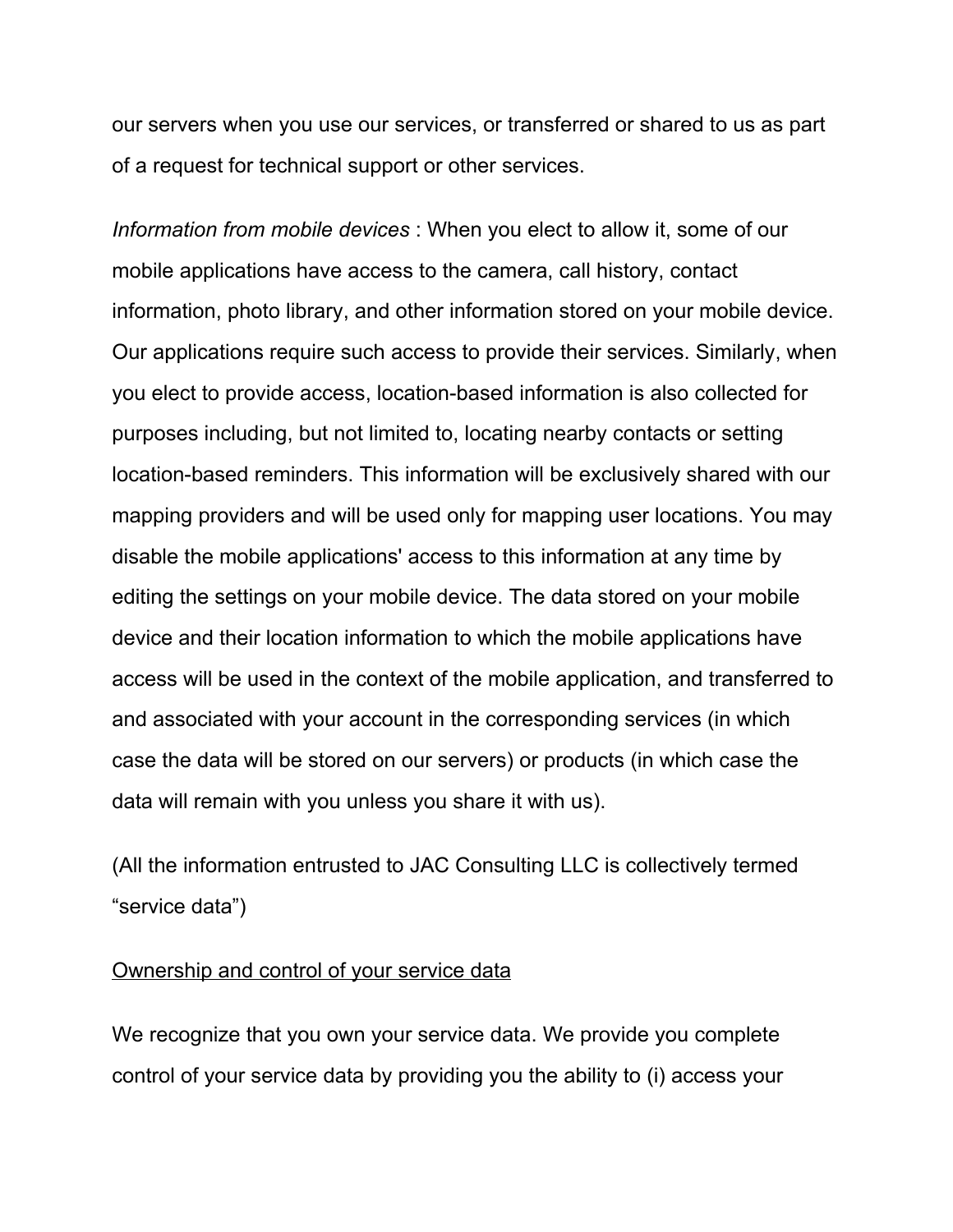our servers when you use our services, or transferred or shared to us as part of a request for technical support or other services.

*Information from mobile devices* : When you elect to allow it, some of our mobile applications have access to the camera, call history, contact information, photo library, and other information stored on your mobile device. Our applications require such access to provide their services. Similarly, when you elect to provide access, location-based information is also collected for purposes including, but not limited to, locating nearby contacts or setting location-based reminders. This information will be exclusively shared with our mapping providers and will be used only for mapping user locations. You may disable the mobile applications' access to this information at any time by editing the settings on your mobile device. The data stored on your mobile device and their location information to which the mobile applications have access will be used in the context of the mobile application, and transferred to and associated with your account in the corresponding services (in which case the data will be stored on our servers) or products (in which case the data will remain with you unless you share it with us).

(All the information entrusted to JAC Consulting LLC is collectively termed "service data")

#### Ownership and control of your service data

We recognize that you own your service data. We provide you complete control of your service data by providing you the ability to (i) access your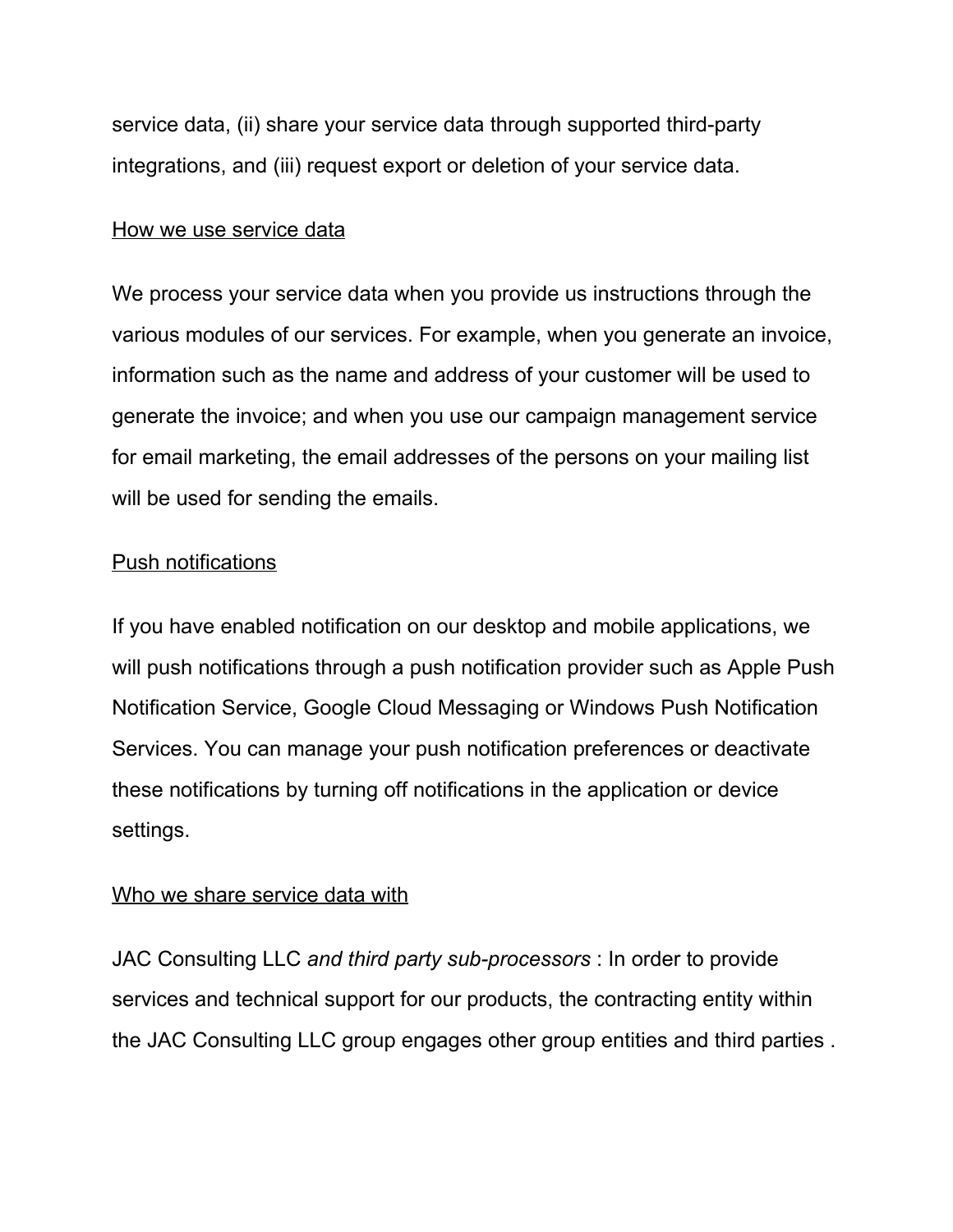service data, (ii) share your service data through supported third-party integrations, and (iii) request export or deletion of your service data.

#### How we use service data

We process your service data when you provide us instructions through the various modules of our services. For example, when you generate an invoice, information such as the name and address of your customer will be used to generate the invoice; and when you use our campaign management service for email marketing, the email addresses of the persons on your mailing list will be used for sending the emails.

#### Push notifications

If you have enabled notification on our desktop and mobile applications, we will push notifications through a push notification provider such as Apple Push Notification Service, Google Cloud Messaging or Windows Push Notification Services. You can manage your push notification preferences or deactivate these notifications by turning off notifications in the application or device settings.

#### Who we share service data with

JAC Consulting LLC *and third party sub-processors* : In order to provide services and technical support for our products, the contracting entity within the JAC Consulting LLC group engages other group entities and third parties .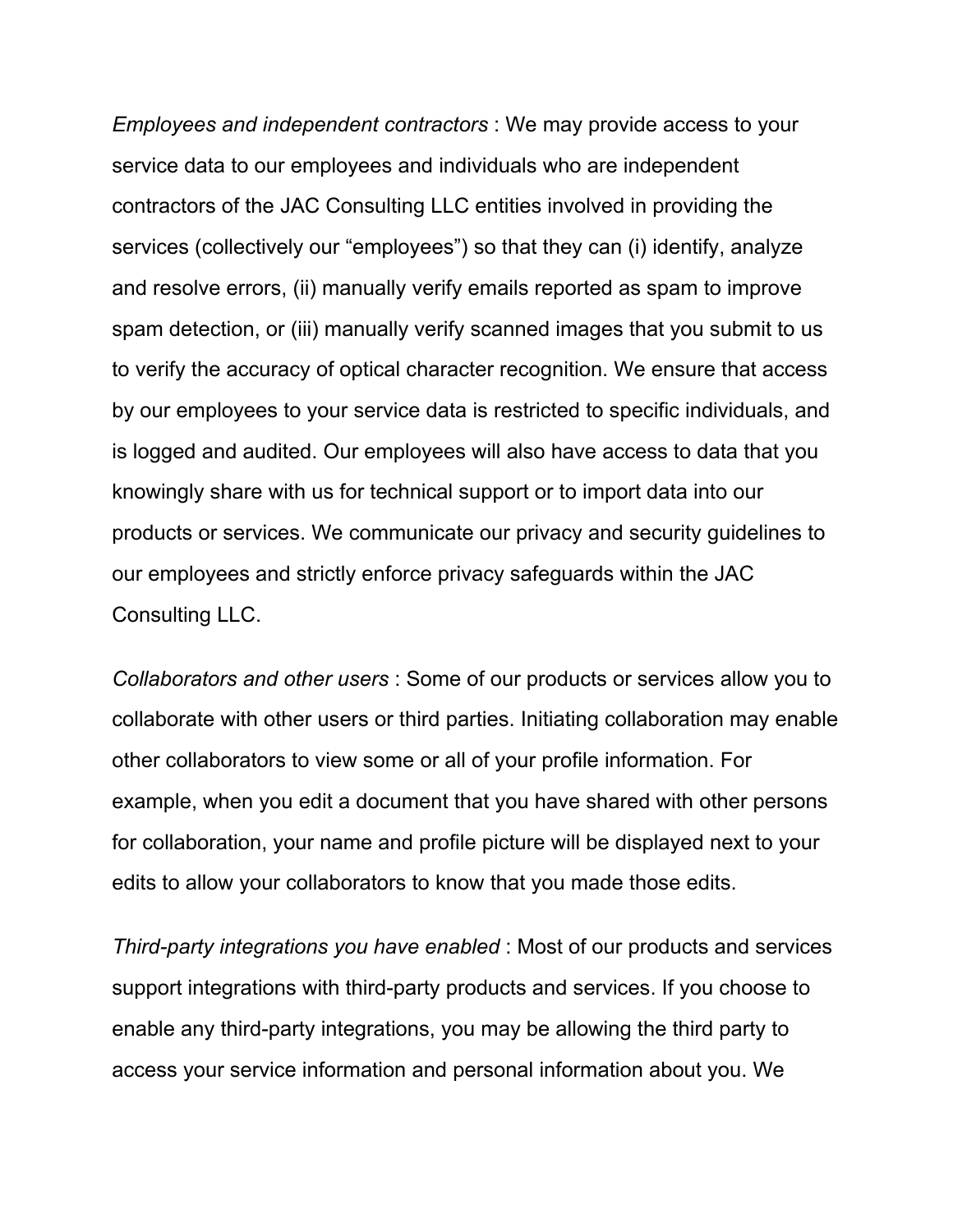*Employees and independent contractors* : We may provide access to your service data to our employees and individuals who are independent contractors of the JAC Consulting LLC entities involved in providing the services (collectively our "employees") so that they can (i) identify, analyze and resolve errors, (ii) manually verify emails reported as spam to improve spam detection, or (iii) manually verify scanned images that you submit to us to verify the accuracy of optical character recognition. We ensure that access by our employees to your service data is restricted to specific individuals, and is logged and audited. Our employees will also have access to data that you knowingly share with us for technical support or to import data into our products or services. We communicate our privacy and security guidelines to our employees and strictly enforce privacy safeguards within the JAC Consulting LLC.

*Collaborators and other users* : Some of our products or services allow you to collaborate with other users or third parties. Initiating collaboration may enable other collaborators to view some or all of your profile information. For example, when you edit a document that you have shared with other persons for collaboration, your name and profile picture will be displayed next to your edits to allow your collaborators to know that you made those edits.

*Third-party integrations you have enabled* : Most of our products and services support integrations with third-party products and services. If you choose to enable any third-party integrations, you may be allowing the third party to access your service information and personal information about you. We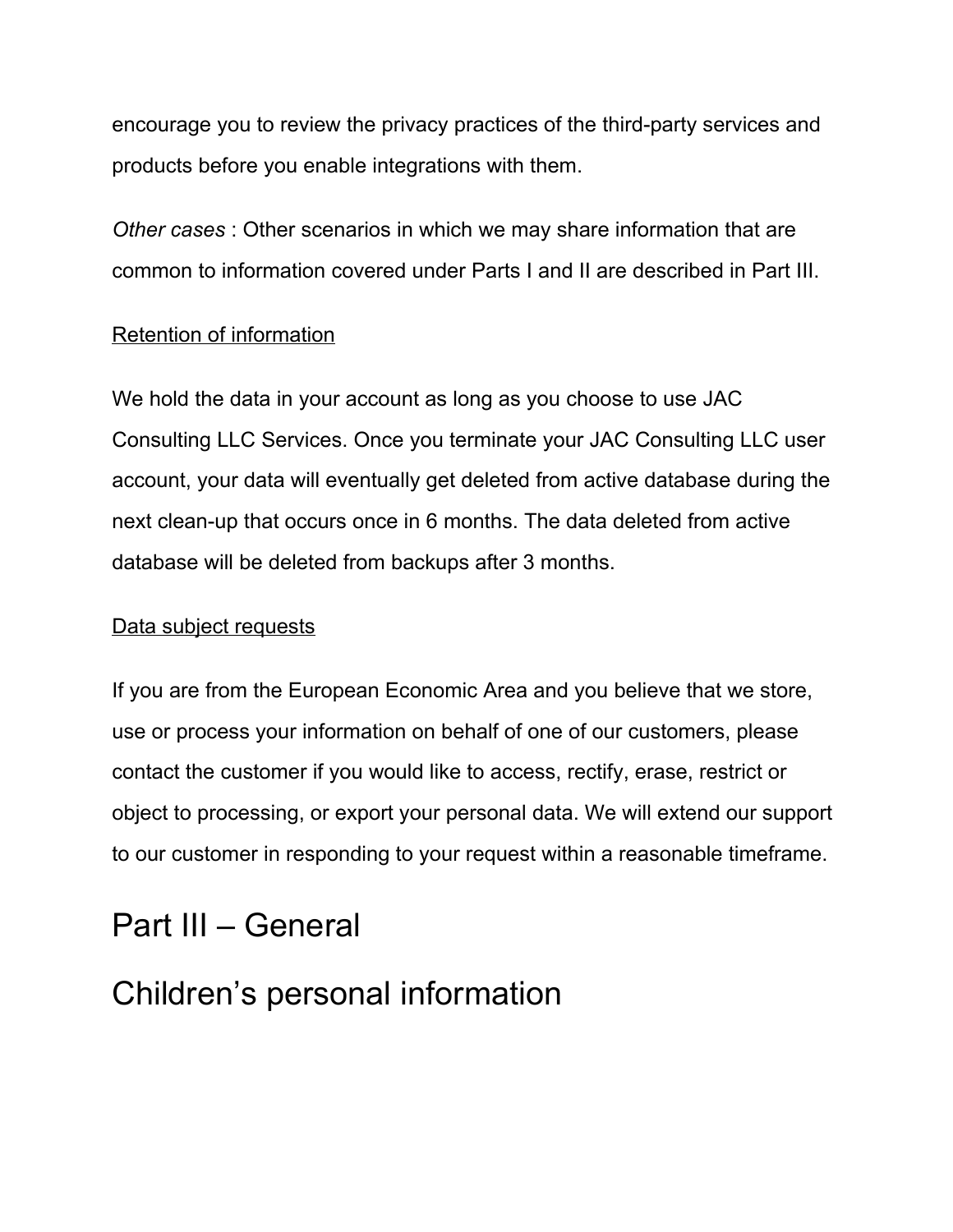encourage you to review the privacy practices of the third-party services and products before you enable integrations with them.

*Other cases* : Other scenarios in which we may share information that are common to information covered under Parts I and II are described in Part III.

#### Retention of information

We hold the data in your account as long as you choose to use JAC Consulting LLC Services. Once you terminate your JAC Consulting LLC user account, your data will eventually get deleted from active database during the next clean-up that occurs once in 6 months. The data deleted from active database will be deleted from backups after 3 months.

#### Data subject requests

If you are from the European Economic Area and you believe that we store, use or process your information on behalf of one of our customers, please contact the customer if you would like to access, rectify, erase, restrict or object to processing, or export your personal data. We will extend our support to our customer in responding to your request within a reasonable timeframe.

### Part III – General

### Children's personal information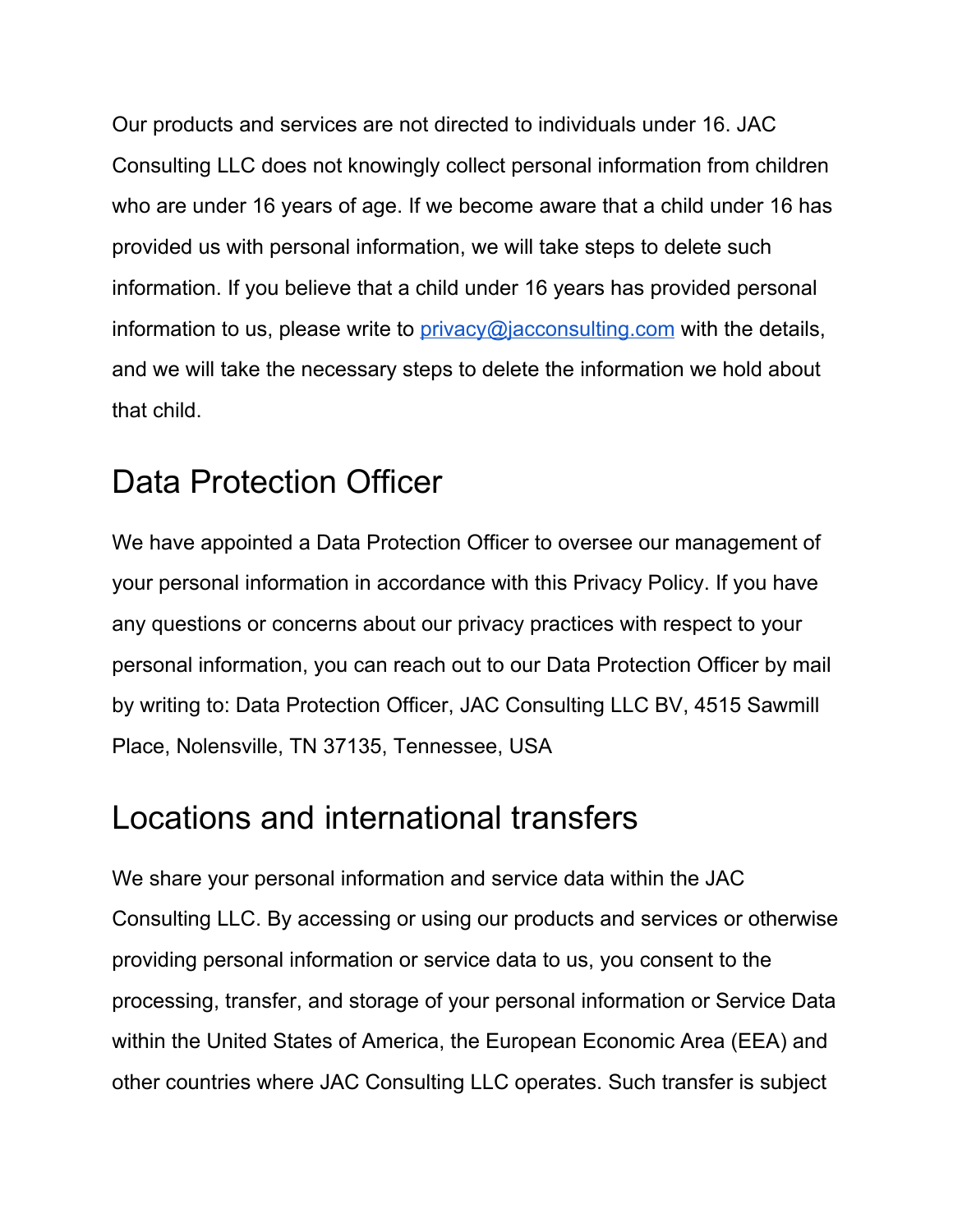Our products and services are not directed to individuals under 16. JAC Consulting LLC does not knowingly collect personal information from children who are under 16 years of age. If we become aware that a child under 16 has provided us with personal information, we will take steps to delete such information. If you believe that a child under 16 years has provided personal information to us, please write to  $\frac{\text{prior}}{\text{prior}}$  *privacy* @*jacconsulting.com* with the details, and we will take the necessary steps to delete the information we hold about that child.

### Data Protection Officer

We have appointed a Data Protection Officer to oversee our management of your personal information in accordance with this Privacy Policy. If you have any questions or concerns about our privacy practices with respect to your personal information, you can reach out to our Data Protection Officer by mail by writing to: Data Protection Officer, JAC Consulting LLC BV, 4515 Sawmill Place, Nolensville, TN 37135, Tennessee, USA

### Locations and international transfers

We share your personal information and service data within the JAC Consulting LLC. By accessing or using our products and services or otherwise providing personal information or service data to us, you consent to the processing, transfer, and storage of your personal information or Service Data within the United States of America, the European Economic Area (EEA) and other countries where JAC Consulting LLC operates. Such transfer is subject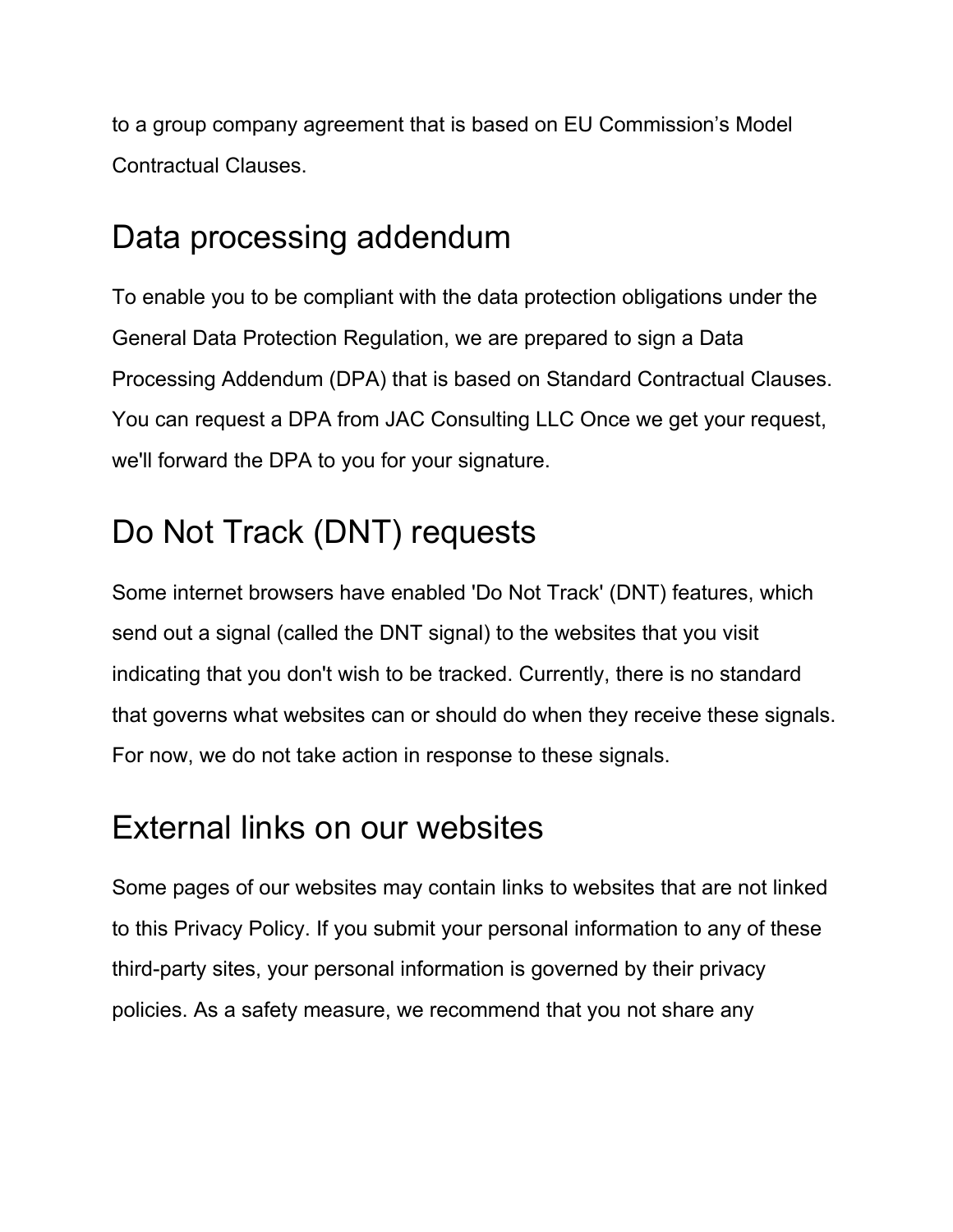to a group company agreement that is based on EU Commission's Model Contractual Clauses.

### Data processing addendum

To enable you to be compliant with the data protection obligations under the General Data Protection Regulation, we are prepared to sign a Data Processing Addendum (DPA) that is based on Standard Contractual Clauses. You can request a DPA from JAC Consulting LLC Once we get your request, we'll forward the DPA to you for your signature.

# Do Not Track (DNT) requests

Some internet browsers have enabled 'Do Not Track' (DNT) features, which send out a signal (called the DNT signal) to the websites that you visit indicating that you don't wish to be tracked. Currently, there is no standard that governs what websites can or should do when they receive these signals. For now, we do not take action in response to these signals.

### External links on our websites

Some pages of our websites may contain links to websites that are not linked to this Privacy Policy. If you submit your personal information to any of these third-party sites, your personal information is governed by their privacy policies. As a safety measure, we recommend that you not share any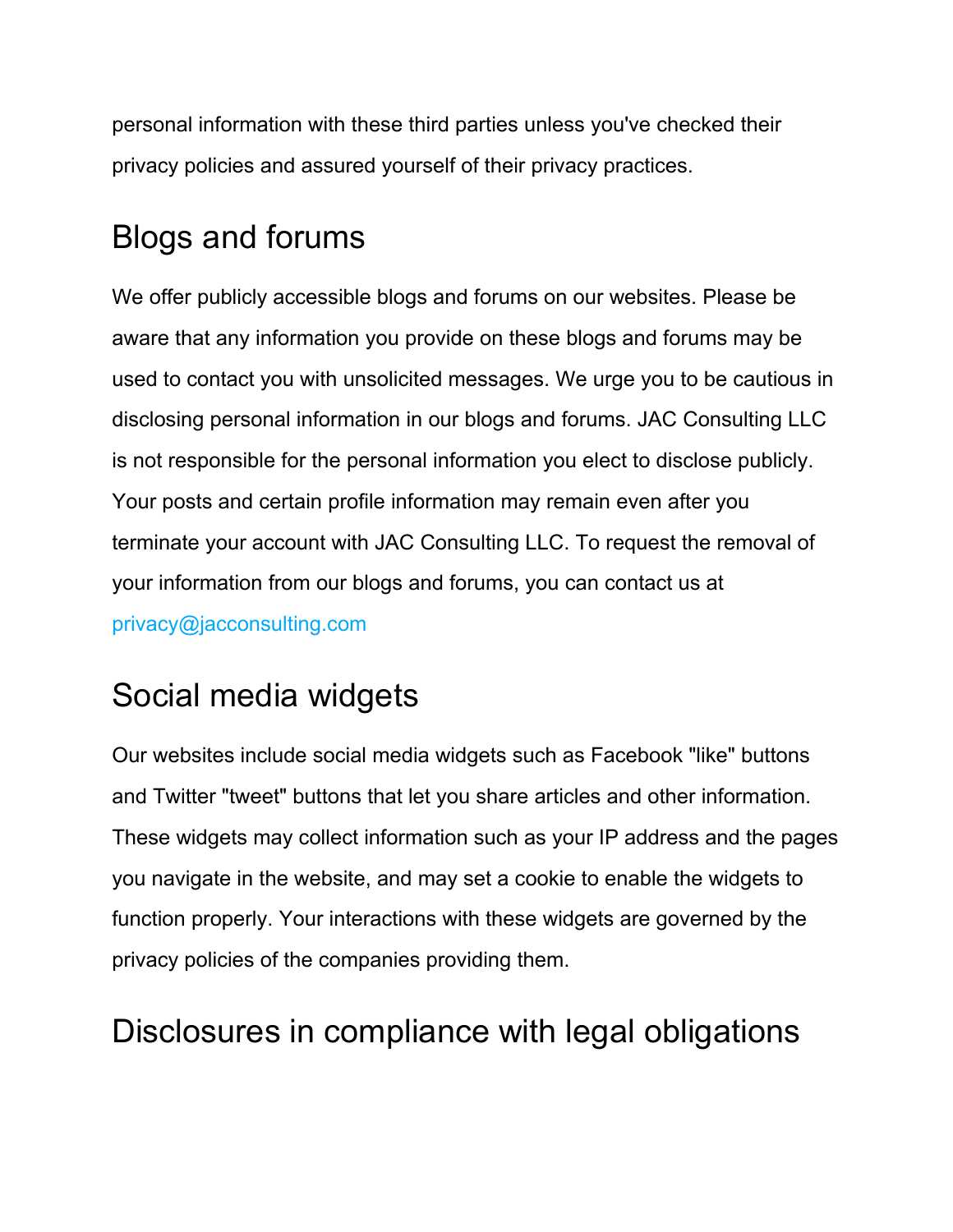personal information with these third parties unless you've checked their privacy policies and assured yourself of their privacy practices.

### Blogs and forums

We offer publicly accessible blogs and forums on our websites. Please be aware that any information you provide on these blogs and forums may be used to contact you with unsolicited messages. We urge you to be cautious in disclosing personal information in our blogs and forums. JAC Consulting LLC is not responsible for the personal information you elect to disclose publicly. Your posts and certain profile information may remain even after you terminate your account with JAC Consulting LLC. To request the removal of your information from our blogs and forums, you can contact us at privacy@jacconsulting.com

# Social media widgets

Our websites include social media widgets such as Facebook "like" buttons and Twitter "tweet" buttons that let you share articles and other information. These widgets may collect information such as your IP address and the pages you navigate in the website, and may set a cookie to enable the widgets to function properly. Your interactions with these widgets are governed by the privacy policies of the companies providing them.

### Disclosures in compliance with legal obligations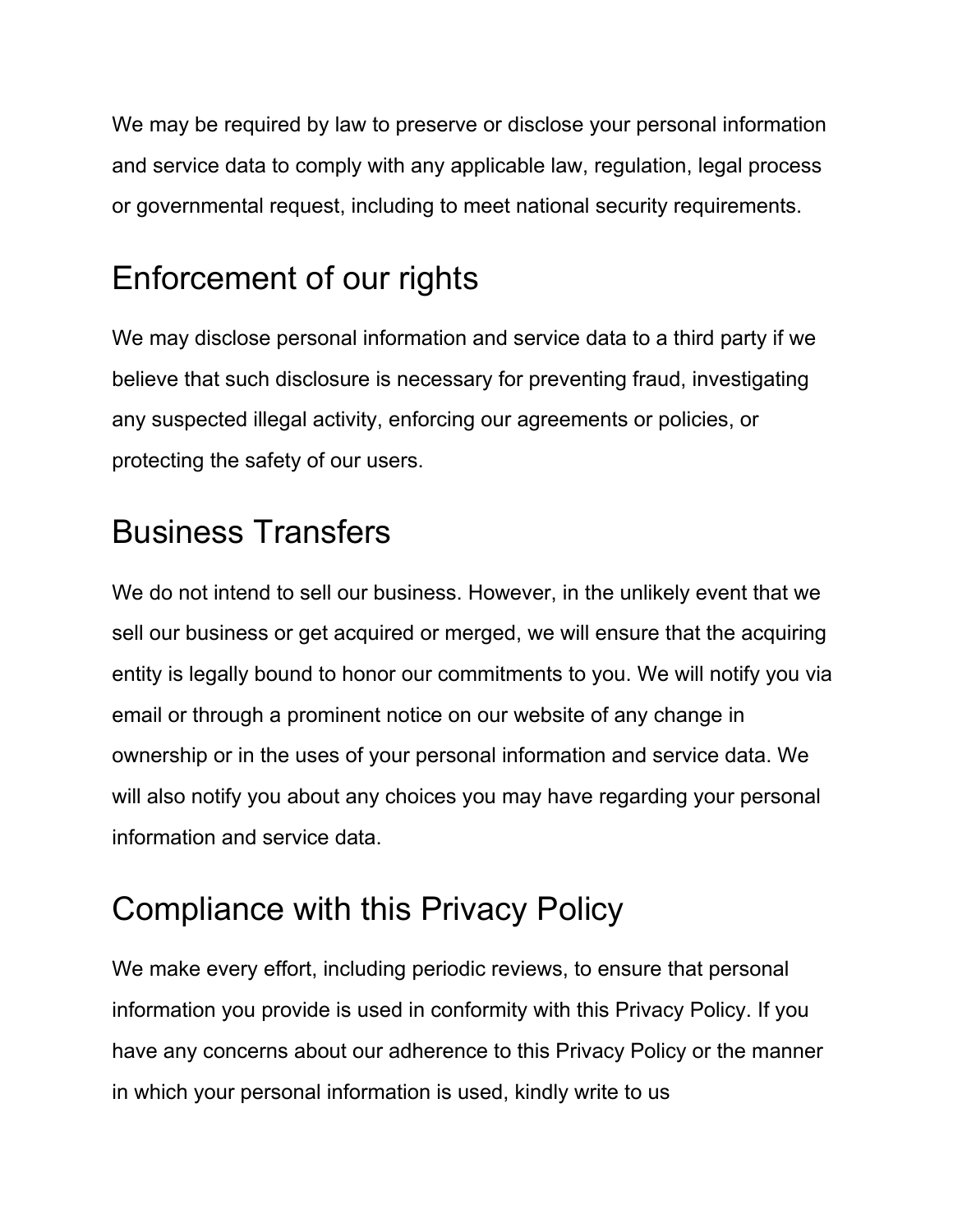We may be required by law to preserve or disclose your personal information and service data to comply with any applicable law, regulation, legal process or governmental request, including to meet national security requirements.

# Enforcement of our rights

We may disclose personal information and service data to a third party if we believe that such disclosure is necessary for preventing fraud, investigating any suspected illegal activity, enforcing our agreements or policies, or protecting the safety of our users.

# Business Transfers

We do not intend to sell our business. However, in the unlikely event that we sell our business or get acquired or merged, we will ensure that the acquiring entity is legally bound to honor our commitments to you. We will notify you via email or through a prominent notice on our website of any change in ownership or in the uses of your personal information and service data. We will also notify you about any choices you may have regarding your personal information and service data.

# Compliance with this Privacy Policy

We make every effort, including periodic reviews, to ensure that personal information you provide is used in conformity with this Privacy Policy. If you have any concerns about our adherence to this Privacy Policy or the manner in which your personal information is used, kindly write to us